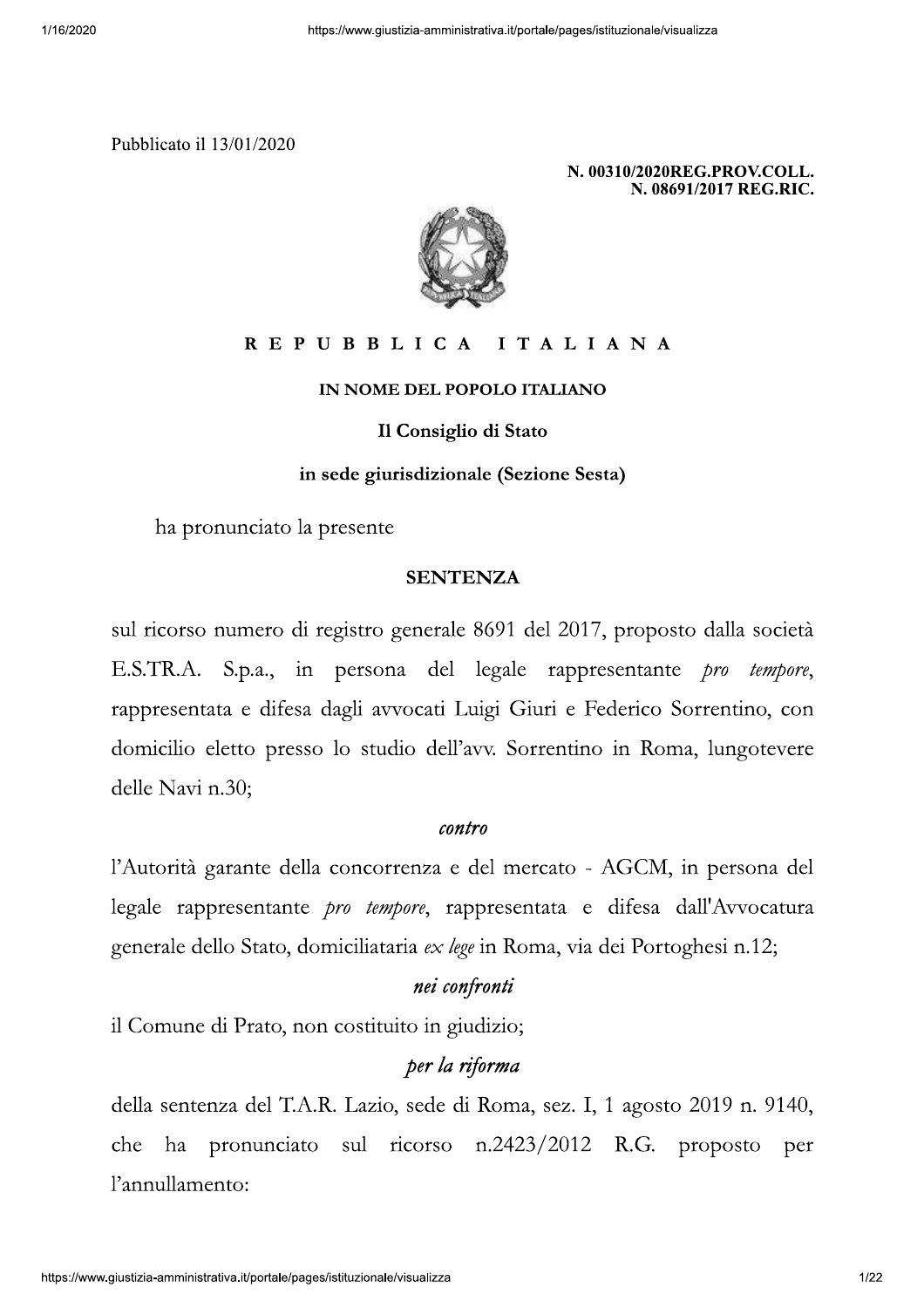

#### REPUBBLICA ITALIANA

IN NOME DEL POPOLO ITALIANO

Il Consiglio di Stato

in sede giurisdizionale (Sezione Sesta)

ha pronunciato la presente

### **SENTENZA**

sul ricorso numero di registro generale 8691 del 2017, proposto dalla società E.S.TR.A. S.p.a., in persona del legale rappresentante *pro tempore*, rappresentata e difesa dagli avvocati Luigi Giuri e Federico Sorrentino, con domicilio eletto presso lo studio dell'avv. Sorrentino in Roma, lungotevere delle Navi n.30;

#### contro

l'Autorità garante della concorrenza e del mercato - AGCM, in persona del legale rappresentante *pro tempore*, rappresentata e difesa dall'Avvocatura generale dello Stato, domiciliataria ex lege in Roma, via dei Portoghesi n.12;

#### nei confronti

il Comune di Prato, non costituito in giudizio;

### per la riforma

della sentenza del T.A.R. Lazio, sede di Roma, sez. I, 1 agosto 2019 n. 9140, che ha pronunciato sul ricorso n.2423/2012 R.G. proposto per l'annullamento: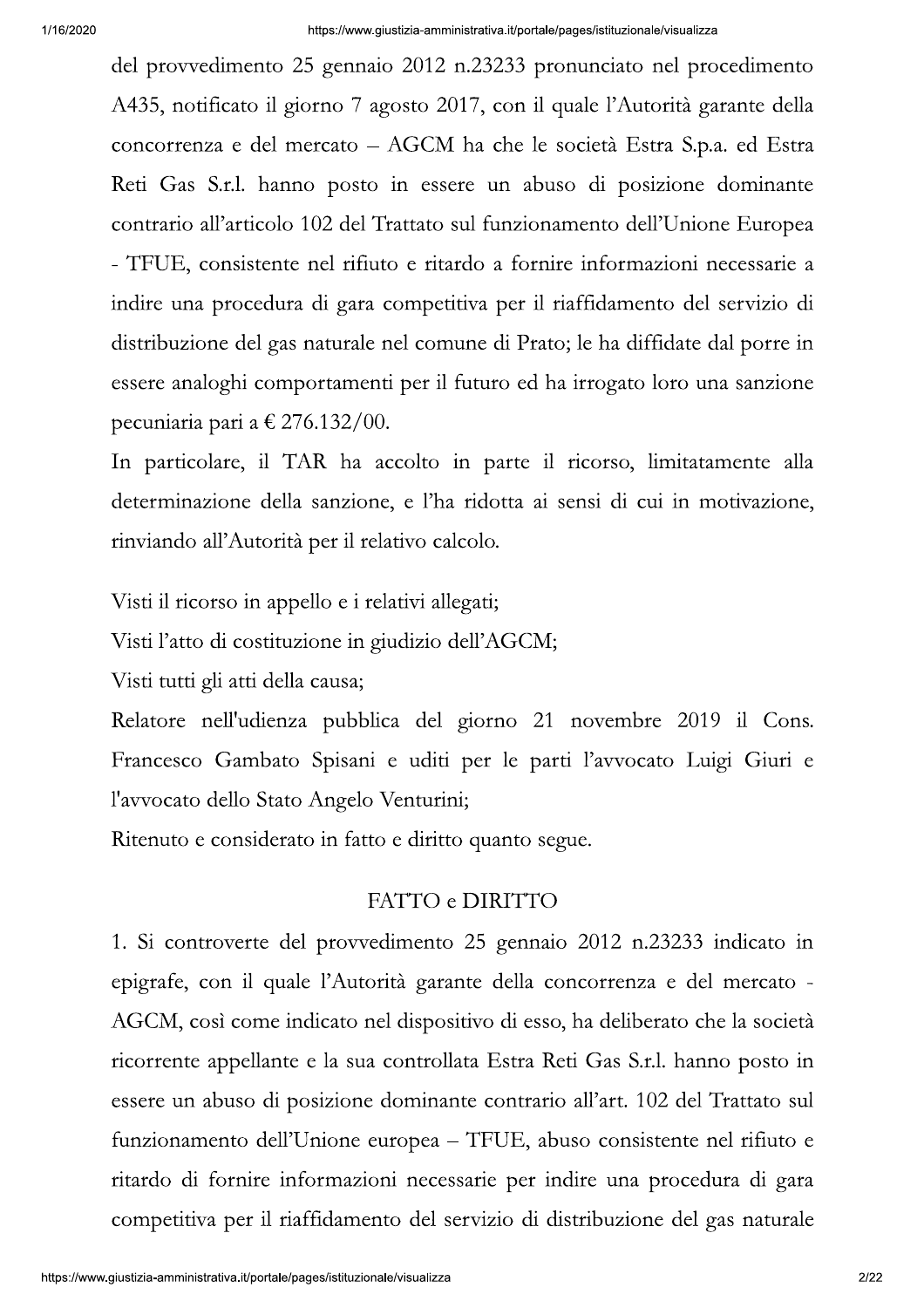del provvedimento 25 gennaio 2012 n.23233 pronunciato nel procedimento A435, notificato il giorno 7 agosto 2017, con il quale l'Autorità garante della concorrenza e del mercato – AGCM ha che le società Estra S.p.a. ed Estra Reti Gas S.r.l. hanno posto in essere un abuso di posizione dominante contrario all'articolo 102 del Trattato sul funzionamento dell'Unione Europea - TFUE, consistente nel rifiuto e ritardo a fornire informazioni necessarie a indire una procedura di gara competitiva per il riaffidamento del servizio di distribuzione del gas naturale nel comune di Prato; le ha diffidate dal porre in essere analoghi comportamenti per il futuro ed ha irrogato loro una sanzione pecuniaria pari a  $\epsilon$  276.132/00.

In particolare, il TAR ha accolto in parte il ricorso, limitatamente alla determinazione della sanzione, e l'ha ridotta ai sensi di cui in motivazione, rinviando all'Autorità per il relativo calcolo.

Visti il ricorso in appello e i relativi allegati;

Visti l'atto di costituzione in giudizio dell'AGCM;

Visti tutti gli atti della causa;

Relatore nell'udienza pubblica del giorno 21 novembre 2019 il Cons. Francesco Gambato Spisani e uditi per le parti l'avvocato Luigi Giuri e l'avvocato dello Stato Angelo Venturini;

Ritenuto e considerato in fatto e diritto quanto segue.

## FATTO e DIRITTO

1. Si controverte del provvedimento 25 gennaio 2012 n.23233 indicato in epigrafe, con il quale l'Autorità garante della concorrenza e del mercato -AGCM, così come indicato nel dispositivo di esso, ha deliberato che la società ricorrente appellante e la sua controllata Estra Reti Gas S.r.l. hanno posto in essere un abuso di posizione dominante contrario all'art. 102 del Trattato sul funzionamento dell'Unione europea – TFUE, abuso consistente nel rifiuto e ritardo di fornire informazioni necessarie per indire una procedura di gara competitiva per il riaffidamento del servizio di distribuzione del gas naturale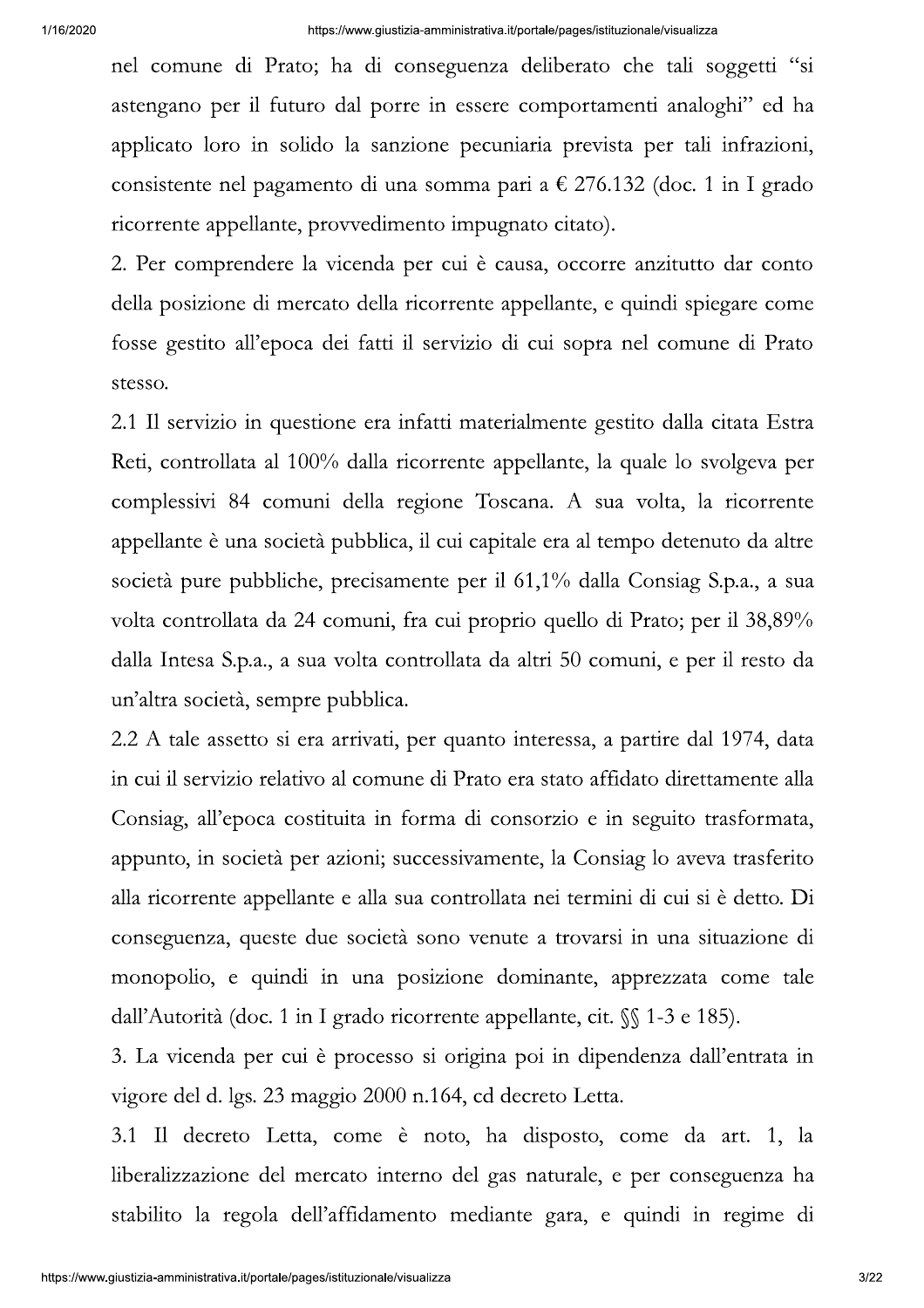nel comune di Prato; ha di conseguenza deliberato che tali soggetti "si astengano per il futuro dal porre in essere comportamenti analoghi" ed ha applicato loro in solido la sanzione pecuniaria prevista per tali infrazioni, consistente nel pagamento di una somma pari a  $\epsilon$  276.132 (doc. 1 in I grado ricorrente appellante, provvedimento impugnato citato).

2. Per comprendere la vicenda per cui è causa, occorre anzitutto dar conto della posizione di mercato della ricorrente appellante, e quindi spiegare come fosse gestito all'epoca dei fatti il servizio di cui sopra nel comune di Prato stesso.

2.1 Il servizio in questione era infatti materialmente gestito dalla citata Estra Reti, controllata al 100% dalla ricorrente appellante, la quale lo svolgeva per complessivi 84 comuni della regione Toscana. A sua volta, la ricorrente appellante è una società pubblica, il cui capitale era al tempo detenuto da altre società pure pubbliche, precisamente per il 61,1% dalla Consiag S.p.a., a sua volta controllata da 24 comuni, fra cui proprio quello di Prato; per il 38,89% dalla Intesa S.p.a., a sua volta controllata da altri 50 comuni, e per il resto da un'altra società, sempre pubblica.

2.2 A tale assetto si era arrivati, per quanto interessa, a partire dal 1974, data in cui il servizio relativo al comune di Prato era stato affidato direttamente alla Consiag, all'epoca costituita in forma di consorzio e in seguito trasformata, appunto, in società per azioni; successivamente, la Consiag lo aveva trasferito alla ricorrente appellante e alla sua controllata nei termini di cui si è detto. Di conseguenza, queste due società sono venute a trovarsi in una situazione di monopolio, e quindi in una posizione dominante, apprezzata come tale dall'Autorità (doc. 1 in I grado ricorrente appellante, cit.  $\mathcal{S}$  1-3 e 185).

3. La vicenda per cui è processo si origina poi in dipendenza dall'entrata in vigore del d. lgs. 23 maggio 2000 n.164, cd decreto Letta.

3.1 Il decreto Letta, come è noto, ha disposto, come da art. 1, la liberalizzazione del mercato interno del gas naturale, e per conseguenza ha stabilito la regola dell'affidamento mediante gara, e quindi in regime di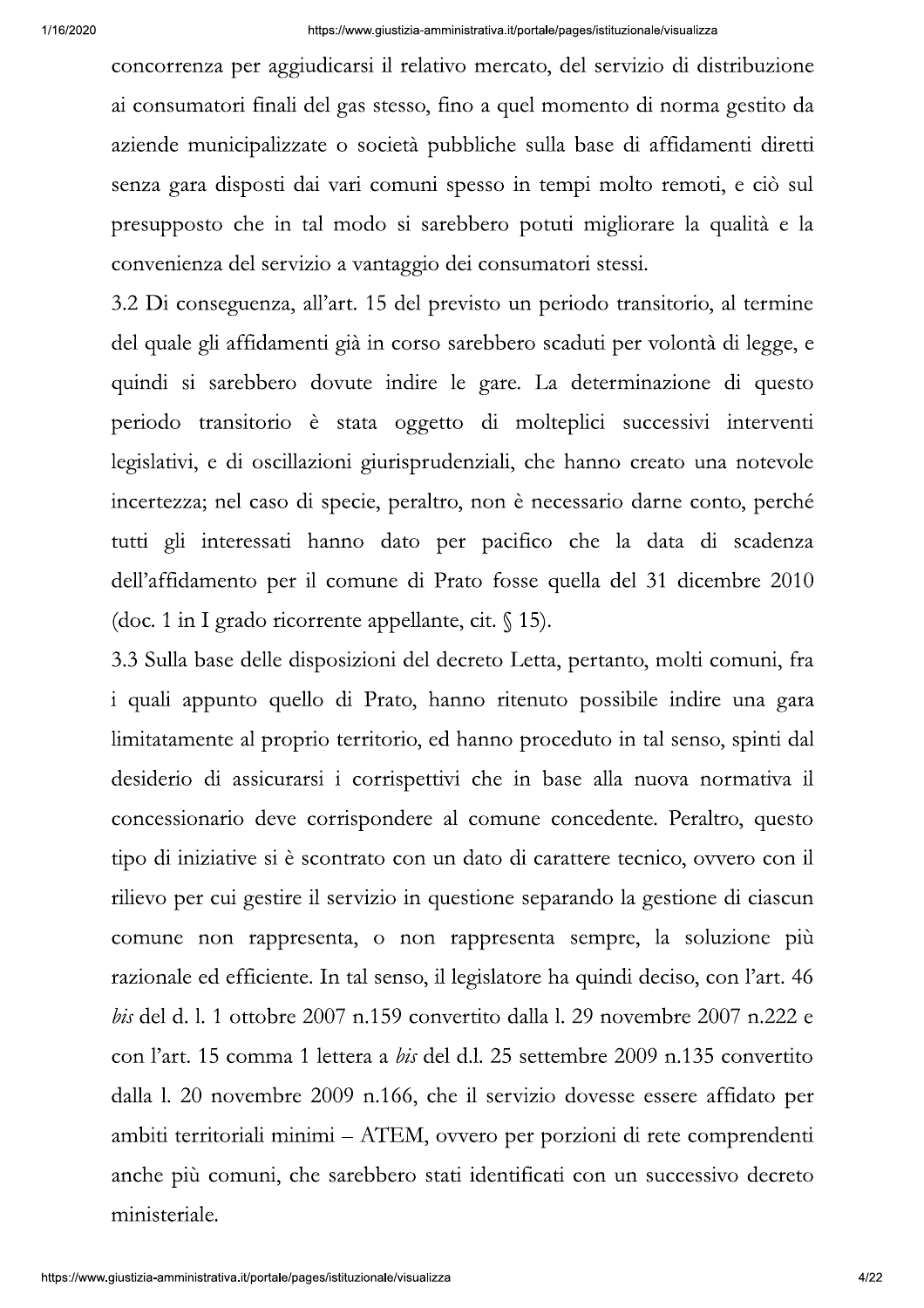concorrenza per aggiudicarsi il relativo mercato, del servizio di distribuzione ai consumatori finali del gas stesso, fino a quel momento di norma gestito da aziende municipalizzate o società pubbliche sulla base di affidamenti diretti senza gara disposti dai vari comuni spesso in tempi molto remoti, e ciò sul presupposto che in tal modo si sarebbero potuti migliorare la qualità e la convenienza del servizio a vantaggio dei consumatori stessi.

3.2 Di conseguenza, all'art. 15 del previsto un periodo transitorio, al termine del quale gli affidamenti già in corso sarebbero scaduti per volontà di legge, e quindi si sarebbero dovute indire le gare. La determinazione di questo periodo transitorio è stata oggetto di molteplici successivi interventi legislativi, e di oscillazioni giurisprudenziali, che hanno creato una notevole incertezza; nel caso di specie, peraltro, non è necessario darne conto, perché tutti gli interessati hanno dato per pacifico che la data di scadenza dell'affidamento per il comune di Prato fosse quella del 31 dicembre 2010 (doc. 1 in I grado ricorrente appellante, cit.  $\sqrt[6]{15}$ ).

3.3 Sulla base delle disposizioni del decreto Letta, pertanto, molti comuni, fra i quali appunto quello di Prato, hanno ritenuto possibile indire una gara limitatamente al proprio territorio, ed hanno proceduto in tal senso, spinti dal desiderio di assicurarsi i corrispettivi che in base alla nuova normativa il concessionario deve corrispondere al comune concedente. Peraltro, questo tipo di iniziative si è scontrato con un dato di carattere tecnico, ovvero con il rilievo per cui gestire il servizio in questione separando la gestione di ciascun comune non rappresenta, o non rappresenta sempre, la soluzione più razionale ed efficiente. In tal senso, il legislatore ha quindi deciso, con l'art. 46 bis del d. l. 1 ottobre 2007 n.159 convertito dalla l. 29 novembre 2007 n.222 e con l'art. 15 comma 1 lettera a bis del d.l. 25 settembre 2009 n.135 convertito dalla 1. 20 novembre 2009 n.166, che il servizio dovesse essere affidato per ambiti territoriali minimi – ATEM, ovvero per porzioni di rete comprendenti anche più comuni, che sarebbero stati identificati con un successivo decreto ministeriale.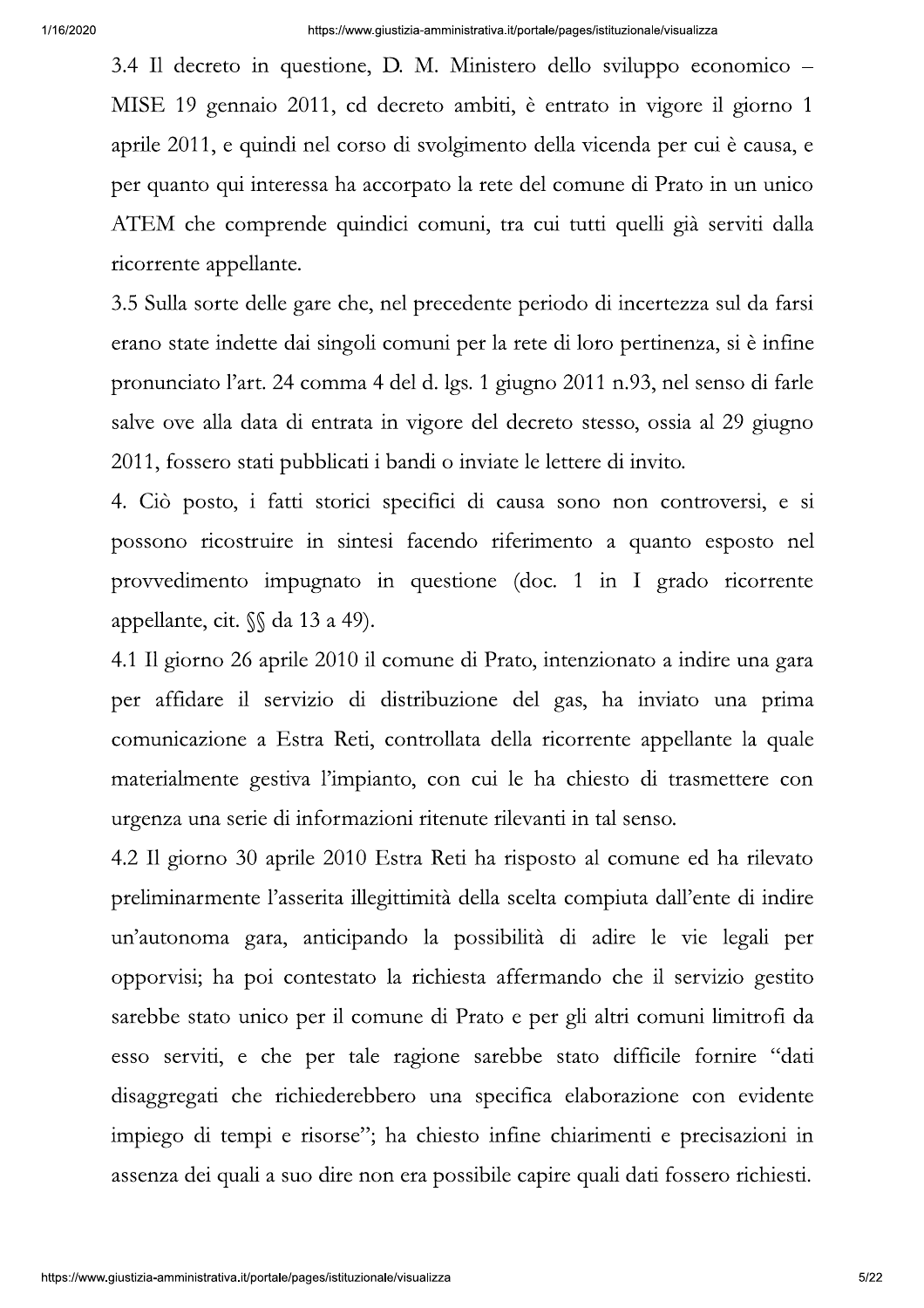3.4 Il decreto in questione, D. M. Ministero dello sviluppo economico – MISE 19 gennaio 2011, cd decreto ambiti, è entrato in vigore il giorno 1 aprile 2011, e quindi nel corso di svolgimento della vicenda per cui è causa, e per quanto qui interessa ha accorpato la rete del comune di Prato in un unico ATEM che comprende quindici comuni, tra cui tutti quelli già serviti dalla ricorrente appellante.

3.5 Sulla sorte delle gare che, nel precedente periodo di incertezza sul da farsi erano state indette dai singoli comuni per la rete di loro pertinenza, si è infine pronunciato l'art. 24 comma 4 del d. lgs. 1 giugno 2011 n.93, nel senso di farle salve ove alla data di entrata in vigore del decreto stesso, ossia al 29 giugno 2011, fossero stati pubblicati i bandi o inviate le lettere di invito.

4. Ciò posto, i fatti storici specifici di causa sono non controversi, e si possono ricostruire in sintesi facendo riferimento a quanto esposto nel provvedimento impugnato in questione (doc. 1 in I grado ricorrente appellante, cit.  $\mathcal{S}$  da 13 a 49).

4.1 Il giorno 26 aprile 2010 il comune di Prato, intenzionato a indire una gara per affidare il servizio di distribuzione del gas, ha inviato una prima comunicazione a Estra Reti, controllata della ricorrente appellante la quale materialmente gestiva l'impianto, con cui le ha chiesto di trasmettere con urgenza una serie di informazioni ritenute rilevanti in tal senso.

4.2 Il giorno 30 aprile 2010 Estra Reti ha risposto al comune ed ha rilevato preliminarmente l'asserita illegittimità della scelta compiuta dall'ente di indire un'autonoma gara, anticipando la possibilità di adire le vie legali per opporvisi; ha poi contestato la richiesta affermando che il servizio gestito sarebbe stato unico per il comune di Prato e per gli altri comuni limitrofi da esso serviti, e che per tale ragione sarebbe stato difficile fornire "dati disaggregati che richiederebbero una specifica elaborazione con evidente impiego di tempi e risorse"; ha chiesto infine chiarimenti e precisazioni in assenza dei quali a suo dire non era possibile capire quali dati fossero richiesti.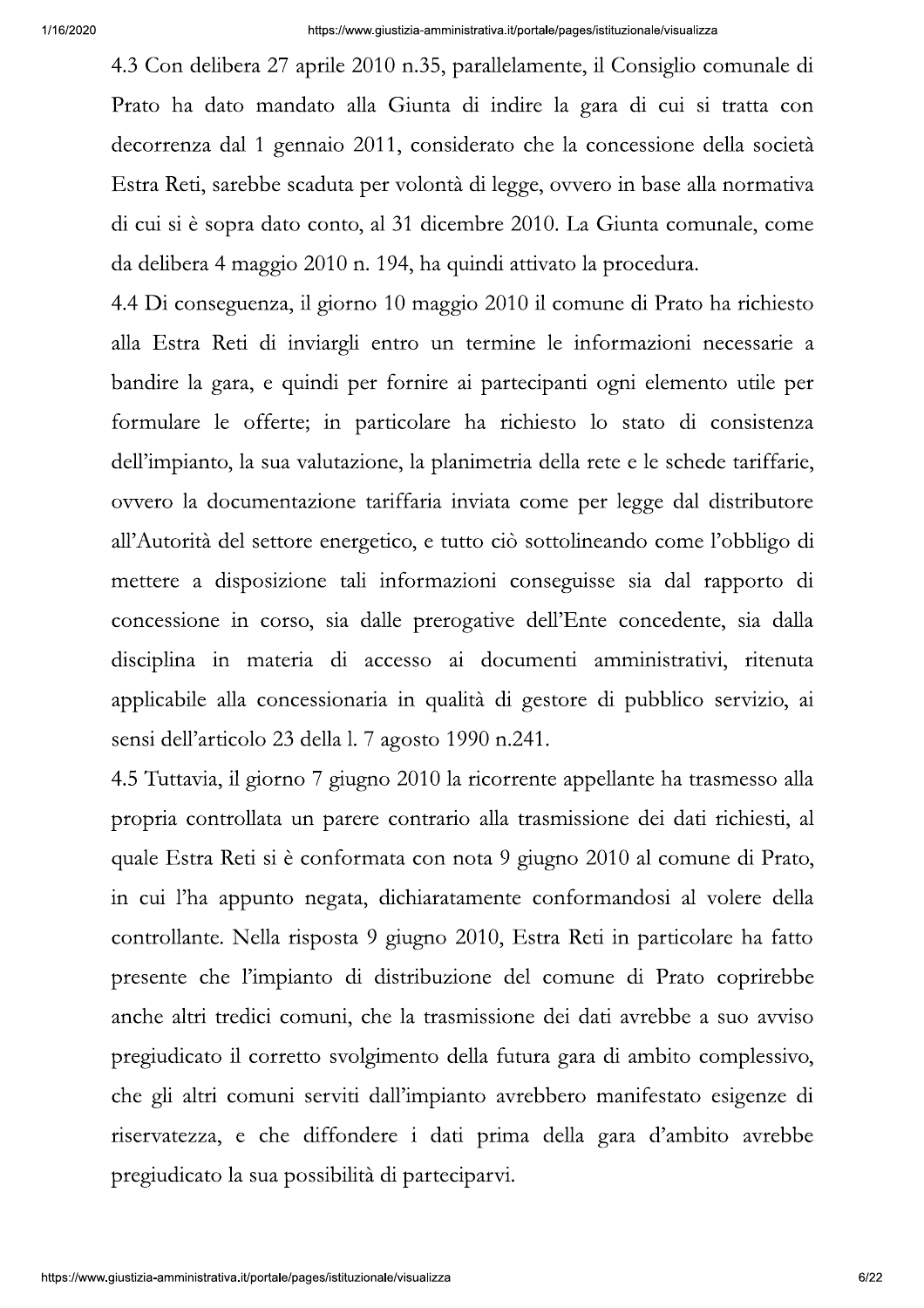4.3 Con delibera 27 aprile 2010 n.35, parallelamente, il Consiglio comunale di Prato ha dato mandato alla Giunta di indire la gara di cui si tratta con decorrenza dal 1 gennaio 2011, considerato che la concessione della società Estra Reti, sarebbe scaduta per volontà di legge, ovvero in base alla normativa di cui si è sopra dato conto, al 31 dicembre 2010. La Giunta comunale, come da delibera 4 maggio 2010 n. 194, ha quindi attivato la procedura.

4.4 Di conseguenza, il giorno 10 maggio 2010 il comune di Prato ha richiesto alla Estra Reti di inviargli entro un termine le informazioni necessarie a bandire la gara, e quindi per fornire ai partecipanti ogni elemento utile per formulare le offerte; in particolare ha richiesto lo stato di consistenza dell'impianto, la sua valutazione, la planimetria della rete e le schede tariffarie, ovvero la documentazione tariffaria inviata come per legge dal distributore all'Autorità del settore energetico, e tutto ciò sottolineando come l'obbligo di mettere a disposizione tali informazioni conseguisse sia dal rapporto di concessione in corso, sia dalle prerogative dell'Ente concedente, sia dalla disciplina in materia di accesso ai documenti amministrativi, ritenuta applicabile alla concessionaria in qualità di gestore di pubblico servizio, ai sensi dell'articolo 23 della 1.7 agosto 1990 n.241.

4.5 Tuttavia, il giorno 7 giugno 2010 la ricorrente appellante ha trasmesso alla propria controllata un parere contrario alla trasmissione dei dati richiesti, al quale Estra Reti si è conformata con nota 9 giugno 2010 al comune di Prato, in cui l'ha appunto negata, dichiaratamente conformandosi al volere della controllante. Nella risposta 9 giugno 2010, Estra Reti in particolare ha fatto presente che l'impianto di distribuzione del comune di Prato coprirebbe anche altri tredici comuni, che la trasmissione dei dati avrebbe a suo avviso pregiudicato il corretto svolgimento della futura gara di ambito complessivo, che gli altri comuni serviti dall'impianto avrebbero manifestato esigenze di riservatezza, e che diffondere i dati prima della gara d'ambito avrebbe pregiudicato la sua possibilità di parteciparvi.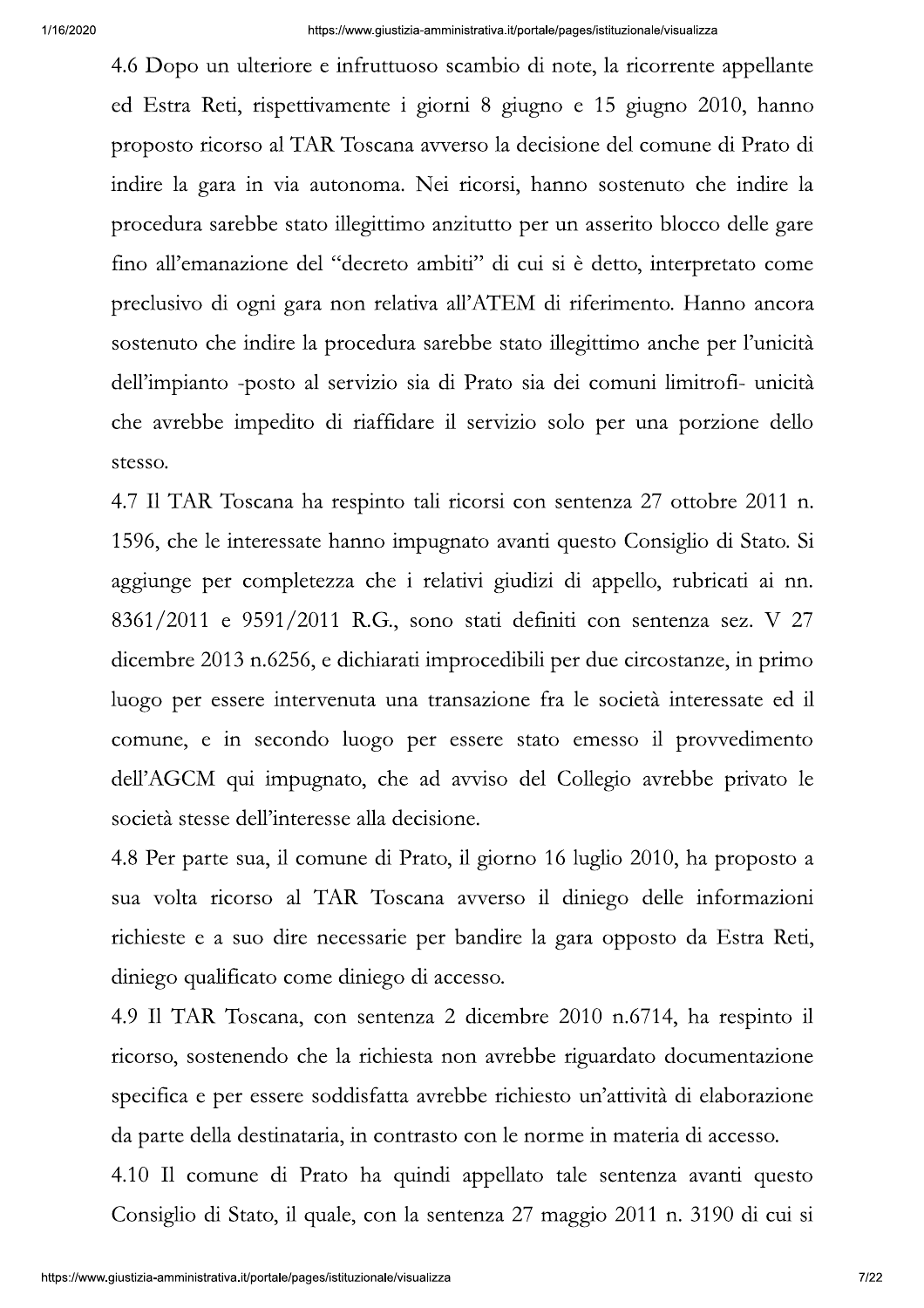4.6 Dopo un ulteriore e infruttuoso scambio di note, la ricorrente appellante ed Estra Reti, rispettivamente i giorni 8 giugno e 15 giugno 2010, hanno proposto ricorso al TAR Toscana avverso la decisione del comune di Prato di indire la gara in via autonoma. Nei ricorsi, hanno sostenuto che indire la procedura sarebbe stato illegittimo anzitutto per un asserito blocco delle gare fino all'emanazione del "decreto ambiti" di cui si è detto, interpretato come preclusivo di ogni gara non relativa all'ATEM di riferimento. Hanno ancora sostenuto che indire la procedura sarebbe stato illegittimo anche per l'unicità dell'impianto -posto al servizio sia di Prato sia dei comuni limitrofi- unicità che avrebbe impedito di riaffidare il servizio solo per una porzione dello stesso.

4.7 Il TAR Toscana ha respinto tali ricorsi con sentenza 27 ottobre 2011 n. 1596, che le interessate hanno impugnato avanti questo Consiglio di Stato. Si aggiunge per completezza che i relativi giudizi di appello, rubricati ai nn.  $8361/2011$  e  $9591/2011$  R.G., sono stati definiti con sentenza sez. V 27 dicembre 2013 n.6256, e dichiarati improcedibili per due circostanze, in primo luogo per essere intervenuta una transazione fra le società interessate ed il comune, e in secondo luogo per essere stato emesso il provvedimento dell'AGCM qui impugnato, che ad avviso del Collegio avrebbe privato le società stesse dell'interesse alla decisione.

4.8 Per parte sua, il comune di Prato, il giorno 16 luglio 2010, ha proposto a sua volta ricorso al TAR Toscana avverso il diniego delle informazioni richieste e a suo dire necessarie per bandire la gara opposto da Estra Reti, diniego qualificato come diniego di accesso.

4.9 Il TAR Toscana, con sentenza 2 dicembre 2010 n.6714, ha respinto il ricorso, sostenendo che la richiesta non avrebbe riguardato documentazione specifica e per essere soddisfatta avrebbe richiesto un'attività di elaborazione da parte della destinataria, in contrasto con le norme in materia di accesso.

4.10 Il comune di Prato ha quindi appellato tale sentenza avanti questo Consiglio di Stato, il quale, con la sentenza 27 maggio 2011 n. 3190 di cui si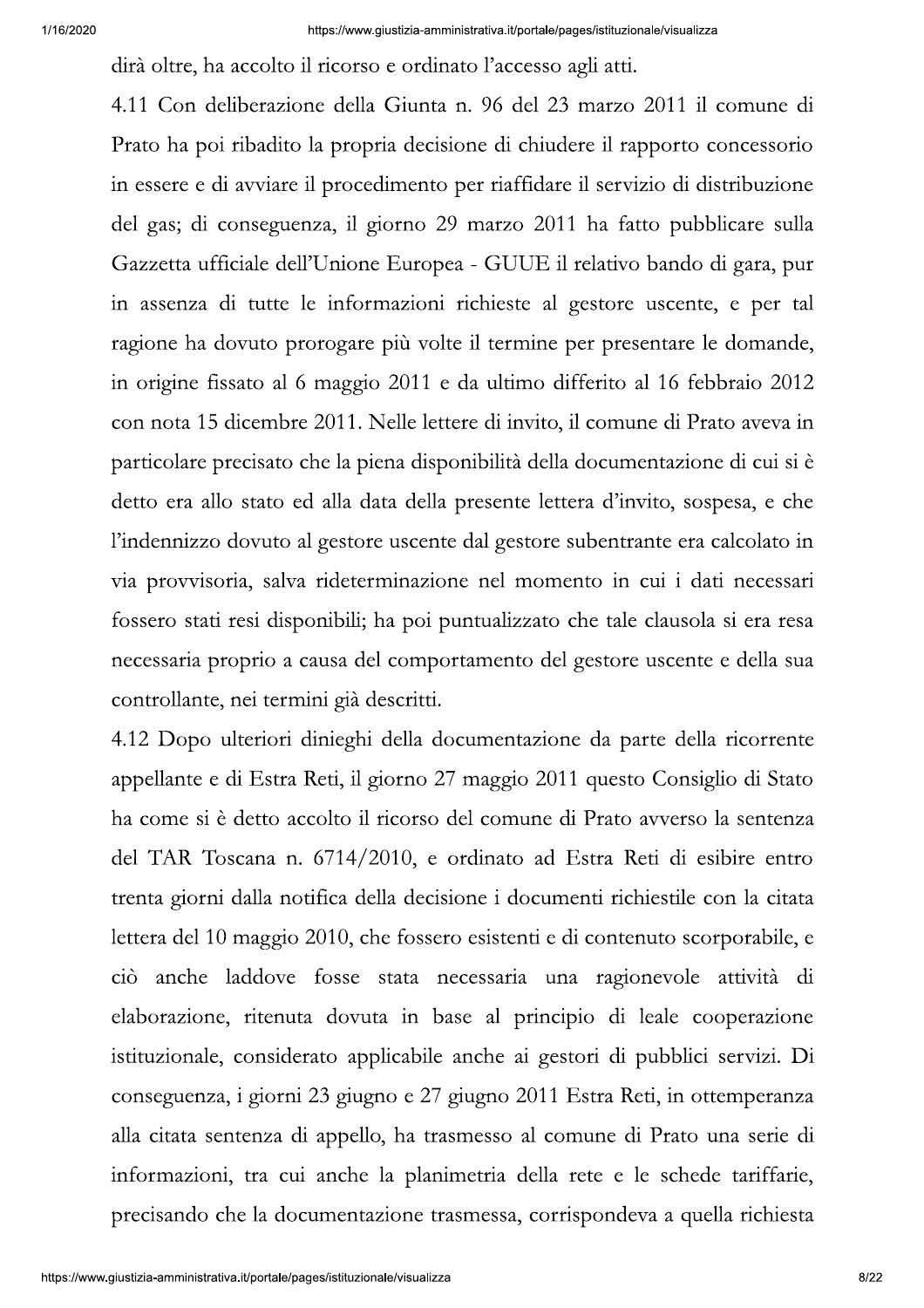dirà oltre, ha accolto il ricorso e ordinato l'accesso agli atti.

4.11 Con deliberazione della Giunta n. 96 del 23 marzo 2011 il comune di Prato ha poi ribadito la propria decisione di chiudere il rapporto concessorio in essere e di avviare il procedimento per riaffidare il servizio di distribuzione del gas; di conseguenza, il giorno 29 marzo 2011 ha fatto pubblicare sulla Gazzetta ufficiale dell'Unione Europea - GUUE il relativo bando di gara, pur in assenza di tutte le informazioni richieste al gestore uscente, e per tal ragione ha dovuto prorogare più volte il termine per presentare le domande, in origine fissato al 6 maggio 2011 e da ultimo differito al 16 febbraio 2012 con nota 15 dicembre 2011. Nelle lettere di invito, il comune di Prato aveva in particolare precisato che la piena disponibilità della documentazione di cui si è detto era allo stato ed alla data della presente lettera d'invito, sospesa, e che l'indennizzo dovuto al gestore uscente dal gestore subentrante era calcolato in via provvisoria, salva rideterminazione nel momento in cui i dati necessari fossero stati resi disponibili; ha poi puntualizzato che tale clausola si era resa necessaria proprio a causa del comportamento del gestore uscente e della sua controllante, nei termini già descritti.

4.12 Dopo ulteriori dinieghi della documentazione da parte della ricorrente appellante e di Estra Reti, il giorno 27 maggio 2011 questo Consiglio di Stato ha come si è detto accolto il ricorso del comune di Prato avverso la sentenza del TAR Toscana n. 6714/2010, e ordinato ad Estra Reti di esibire entro trenta giorni dalla notifica della decisione i documenti richiestile con la citata lettera del 10 maggio 2010, che fossero esistenti e di contenuto scorporabile, e ciò anche laddove fosse stata necessaria una ragionevole attività di elaborazione, ritenuta dovuta in base al principio di leale cooperazione istituzionale, considerato applicabile anche ai gestori di pubblici servizi. Di conseguenza, i giorni 23 giugno e 27 giugno 2011 Estra Reti, in ottemperanza alla citata sentenza di appello, ha trasmesso al comune di Prato una serie di informazioni, tra cui anche la planimetria della rete e le schede tariffarie, precisando che la documentazione trasmessa, corrispondeva a quella richiesta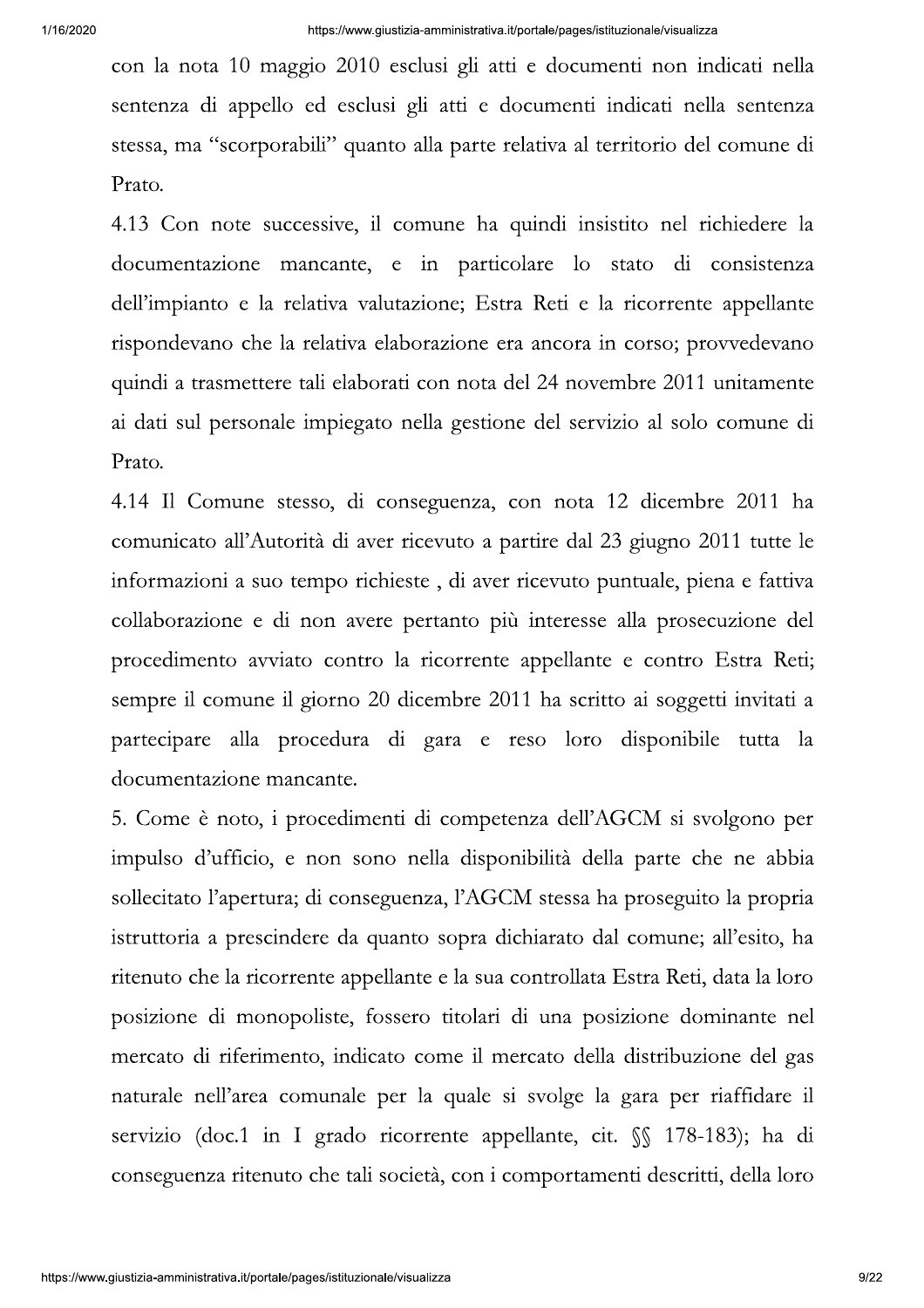con la nota 10 maggio 2010 esclusi gli atti e documenti non indicati nella sentenza di appello ed esclusi gli atti e documenti indicati nella sentenza stessa, ma "scorporabili" quanto alla parte relativa al territorio del comune di Prato.

4.13 Con note successive, il comune ha quindi insistito nel richiedere la documentazione mancante, e in particolare lo stato di consistenza dell'impianto e la relativa valutazione; Estra Reti e la ricorrente appellante rispondevano che la relativa elaborazione era ancora in corso; provvedevano quindi a trasmettere tali elaborati con nota del 24 novembre 2011 unitamente ai dati sul personale impiegato nella gestione del servizio al solo comune di Prato.

4.14 Il Comune stesso, di conseguenza, con nota 12 dicembre 2011 ha comunicato all'Autorità di aver ricevuto a partire dal 23 giugno 2011 tutte le informazioni a suo tempo richieste, di aver ricevuto puntuale, piena e fattiva collaborazione e di non avere pertanto più interesse alla prosecuzione del procedimento avviato contro la ricorrente appellante e contro Estra Reti; sempre il comune il giorno 20 dicembre 2011 ha scritto ai soggetti invitati a partecipare alla procedura di gara e reso loro disponibile tutta la documentazione mancante.

5. Come è noto, i procedimenti di competenza dell'AGCM si svolgono per impulso d'ufficio, e non sono nella disponibilità della parte che ne abbia sollecitato l'apertura; di conseguenza, l'AGCM stessa ha proseguito la propria istruttoria a prescindere da quanto sopra dichiarato dal comune; all'esito, ha ritenuto che la ricorrente appellante e la sua controllata Estra Reti, data la loro posizione di monopoliste, fossero titolari di una posizione dominante nel mercato di riferimento, indicato come il mercato della distribuzione del gas naturale nell'area comunale per la quale si svolge la gara per riaffidare il servizio (doc.1 in I grado ricorrente appellante, cit. §§ 178-183); ha di conseguenza ritenuto che tali società, con i comportamenti descritti, della loro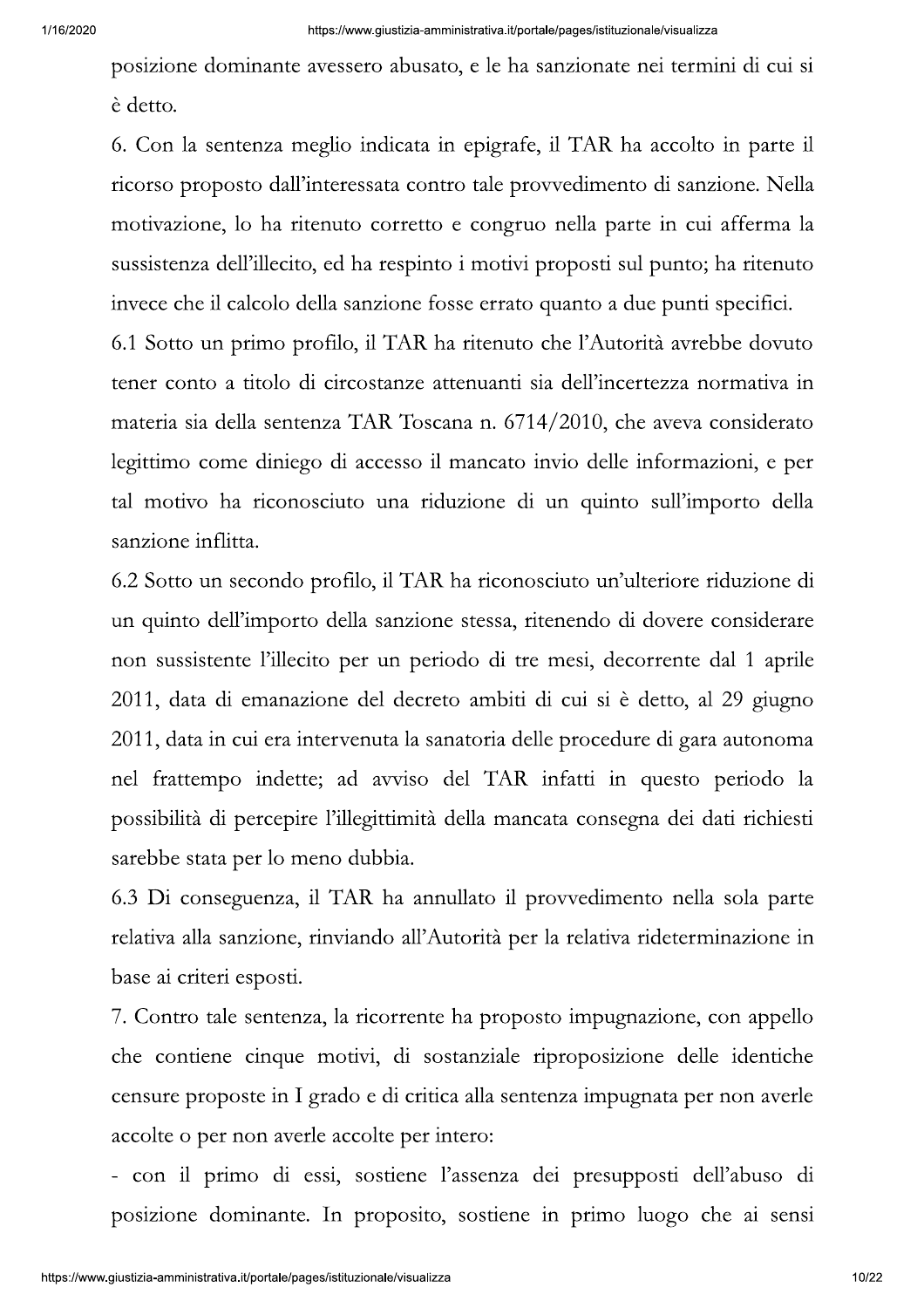posizione dominante avessero abusato, e le ha sanzionate nei termini di cui si è detto.

6. Con la sentenza meglio indicata in epigrafe, il TAR ha accolto in parte il ricorso proposto dall'interessata contro tale provvedimento di sanzione. Nella motivazione, lo ha ritenuto corretto e congruo nella parte in cui afferma la sussistenza dell'illecito, ed ha respinto i motivi proposti sul punto; ha ritenuto invece che il calcolo della sanzione fosse errato quanto a due punti specifici. 6.1 Sotto un primo profilo, il TAR ha ritenuto che l'Autorità avrebbe dovuto tener conto a titolo di circostanze attenuanti sia dell'incertezza normativa in materia sia della sentenza TAR Toscana n. 6714/2010, che aveva considerato legittimo come diniego di accesso il mancato invio delle informazioni, e per tal motivo ha riconosciuto una riduzione di un quinto sull'importo della

sanzione inflitta.

6.2 Sotto un secondo profilo, il TAR ha riconosciuto un'ulteriore riduzione di un quinto dell'importo della sanzione stessa, ritenendo di dovere considerare non sussistente l'illecito per un periodo di tre mesi, decorrente dal 1 aprile 2011, data di emanazione del decreto ambiti di cui si è detto, al 29 giugno 2011, data in cui era intervenuta la sanatoria delle procedure di gara autonoma nel frattempo indette; ad avviso del TAR infatti in questo periodo la possibilità di percepire l'illegittimità della mancata consegna dei dati richiesti sarebbe stata per lo meno dubbia.

6.3 Di conseguenza, il TAR ha annullato il provvedimento nella sola parte relativa alla sanzione, rinviando all'Autorità per la relativa rideterminazione in base ai criteri esposti.

7. Contro tale sentenza, la ricorrente ha proposto impugnazione, con appello che contiene cinque motivi, di sostanziale riproposizione delle identiche censure proposte in I grado e di critica alla sentenza impugnata per non averle accolte o per non averle accolte per intero:

- con il primo di essi, sostiene l'assenza dei presupposti dell'abuso di posizione dominante. In proposito, sostiene in primo luogo che ai sensi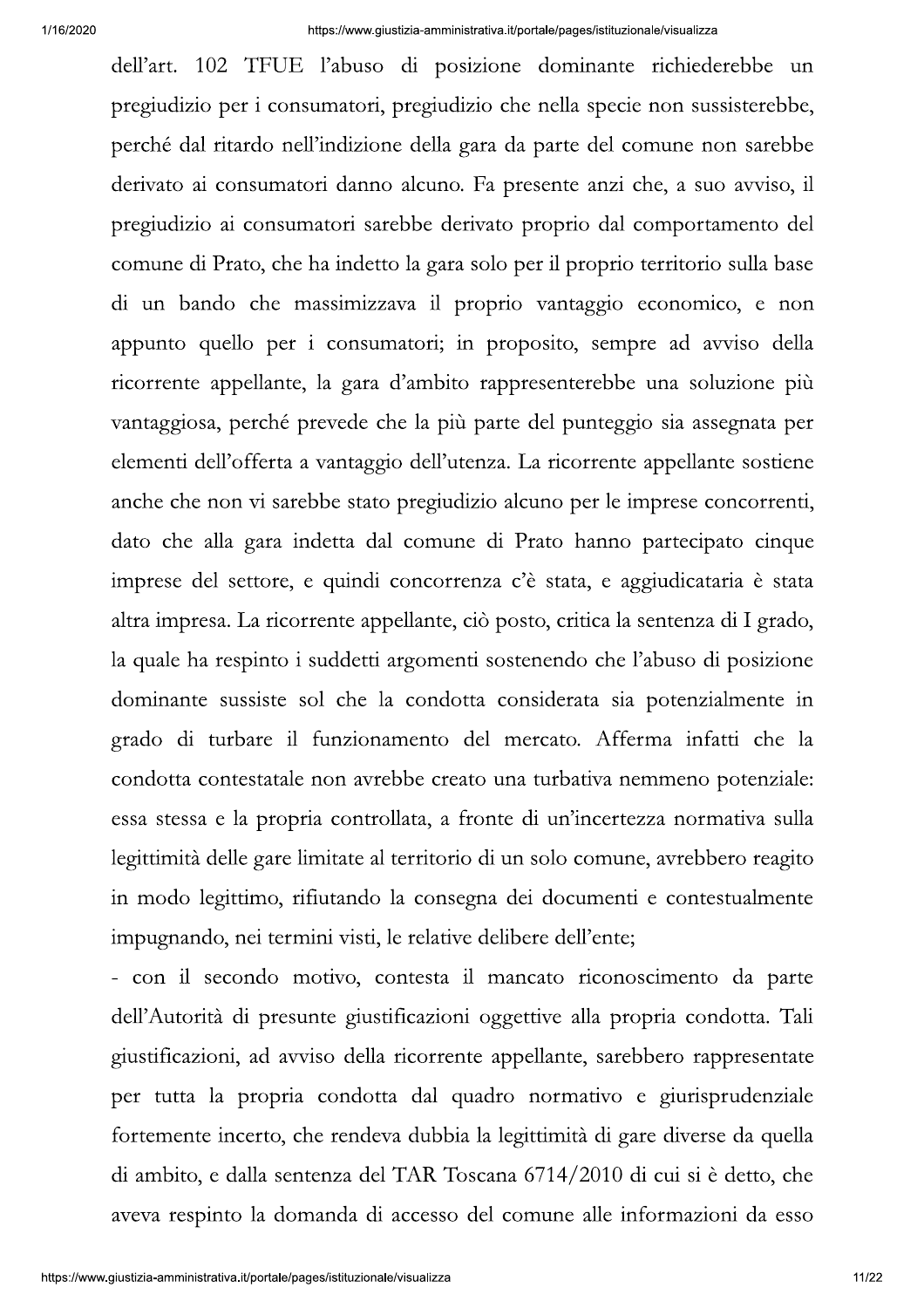dell'art. 102 TFUE l'abuso di posizione dominante richiederebbe un pregiudizio per i consumatori, pregiudizio che nella specie non sussisterebbe, perché dal ritardo nell'indizione della gara da parte del comune non sarebbe derivato ai consumatori danno alcuno. Fa presente anzi che, a suo avviso, il pregiudizio ai consumatori sarebbe derivato proprio dal comportamento del comune di Prato, che ha indetto la gara solo per il proprio territorio sulla base di un bando che massimizzava il proprio vantaggio economico, e non appunto quello per i consumatori; in proposito, sempre ad avviso della ricorrente appellante, la gara d'ambito rappresenterebbe una soluzione più vantaggiosa, perché prevede che la più parte del punteggio sia assegnata per elementi dell'offerta a vantaggio dell'utenza. La ricorrente appellante sostiene anche che non vi sarebbe stato pregiudizio alcuno per le imprese concorrenti, dato che alla gara indetta dal comune di Prato hanno partecipato cinque imprese del settore, e quindi concorrenza c'è stata, e aggiudicataria è stata altra impresa. La ricorrente appellante, ciò posto, critica la sentenza di I grado, la quale ha respinto i suddetti argomenti sostenendo che l'abuso di posizione dominante sussiste sol che la condotta considerata sia potenzialmente in grado di turbare il funzionamento del mercato. Afferma infatti che la condotta contestatale non avrebbe creato una turbativa nemmeno potenziale: essa stessa e la propria controllata, a fronte di un'incertezza normativa sulla legittimità delle gare limitate al territorio di un solo comune, avrebbero reagito in modo legittimo, rifiutando la consegna dei documenti e contestualmente impugnando, nei termini visti, le relative delibere dell'ente;

- con il secondo motivo, contesta il mancato riconoscimento da parte dell'Autorità di presunte giustificazioni oggettive alla propria condotta. Tali giustificazioni, ad avviso della ricorrente appellante, sarebbero rappresentate per tutta la propria condotta dal quadro normativo e giurisprudenziale fortemente incerto, che rendeva dubbia la legittimità di gare diverse da quella di ambito, e dalla sentenza del TAR Toscana 6714/2010 di cui si è detto, che aveva respinto la domanda di accesso del comune alle informazioni da esso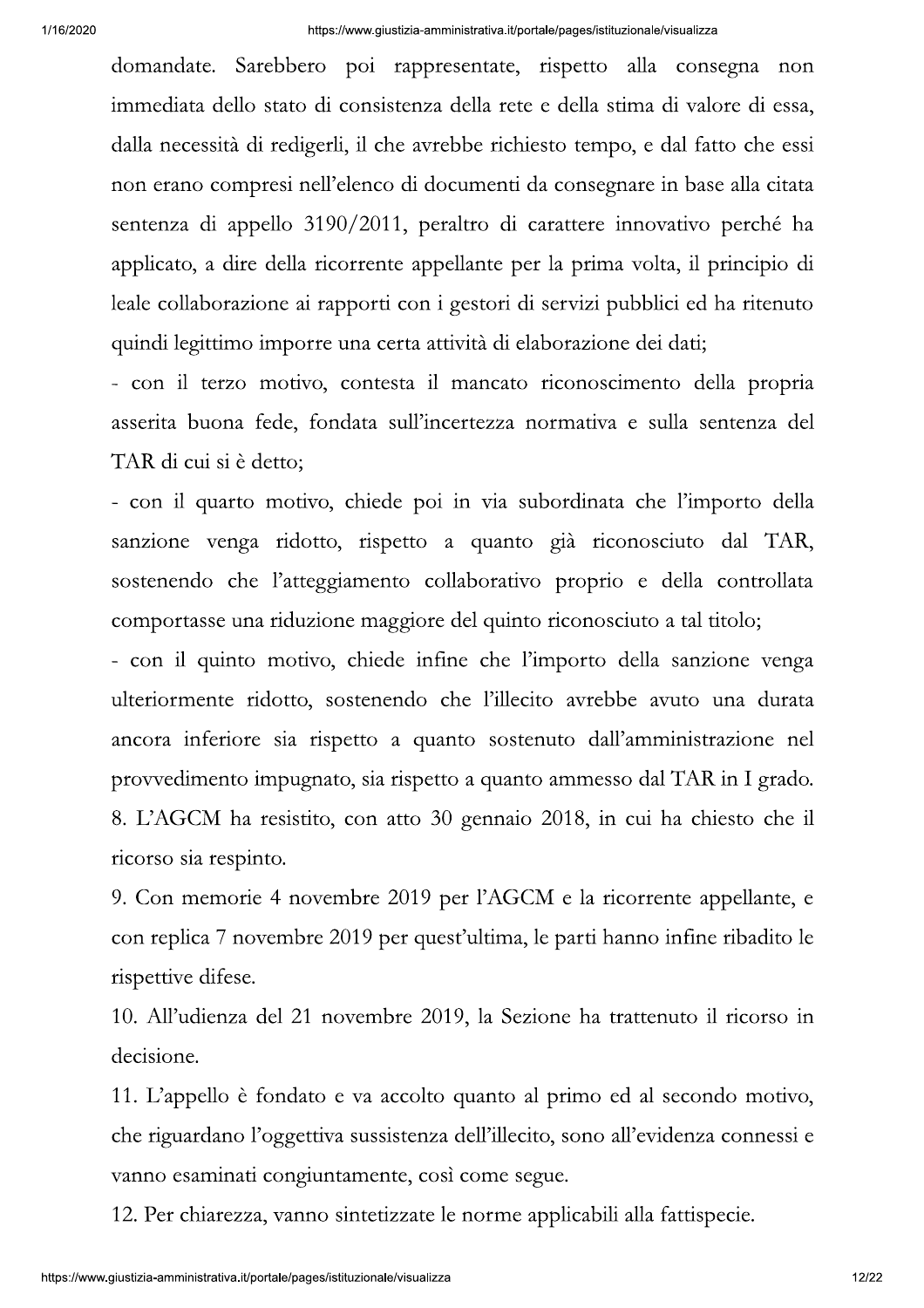domandate. Sarebbero poi rappresentate, rispetto alla consegna non immediata dello stato di consistenza della rete e della stima di valore di essa, dalla necessità di redigerli, il che avrebbe richiesto tempo, e dal fatto che essi non erano compresi nell'elenco di documenti da consegnare in base alla citata sentenza di appello 3190/2011, peraltro di carattere innovativo perché ha applicato, a dire della ricorrente appellante per la prima volta, il principio di leale collaborazione ai rapporti con i gestori di servizi pubblici ed ha ritenuto quindi legittimo imporre una certa attività di elaborazione dei dati;

- con il terzo motivo, contesta il mancato riconoscimento della propria asserita buona fede, fondata sull'incertezza normativa e sulla sentenza del TAR di cui si è detto;

- con il quarto motivo, chiede poi in via subordinata che l'importo della sanzione venga ridotto, rispetto a quanto già riconosciuto dal TAR, sostenendo che l'atteggiamento collaborativo proprio e della controllata comportasse una riduzione maggiore del quinto riconosciuto a tal titolo;

- con il quinto motivo, chiede infine che l'importo della sanzione venga ulteriormente ridotto, sostenendo che l'illecito avrebbe avuto una durata ancora inferiore sia rispetto a quanto sostenuto dall'amministrazione nel provvedimento impugnato, sia rispetto a quanto ammesso dal TAR in I grado. 8. L'AGCM ha resistito, con atto 30 gennaio 2018, in cui ha chiesto che il ricorso sia respinto.

9. Con memorie 4 novembre 2019 per l'AGCM e la ricorrente appellante, e con replica 7 novembre 2019 per quest'ultima, le parti hanno infine ribadito le rispettive difese.

10. All'udienza del 21 novembre 2019, la Sezione ha trattenuto il ricorso in decisione.

11. L'appello è fondato e va accolto quanto al primo ed al secondo motivo, che riguardano l'oggettiva sussistenza dell'illecito, sono all'evidenza connessi e vanno esaminati congiuntamente, così come segue.

12. Per chiarezza, vanno sintetizzate le norme applicabili alla fattispecie.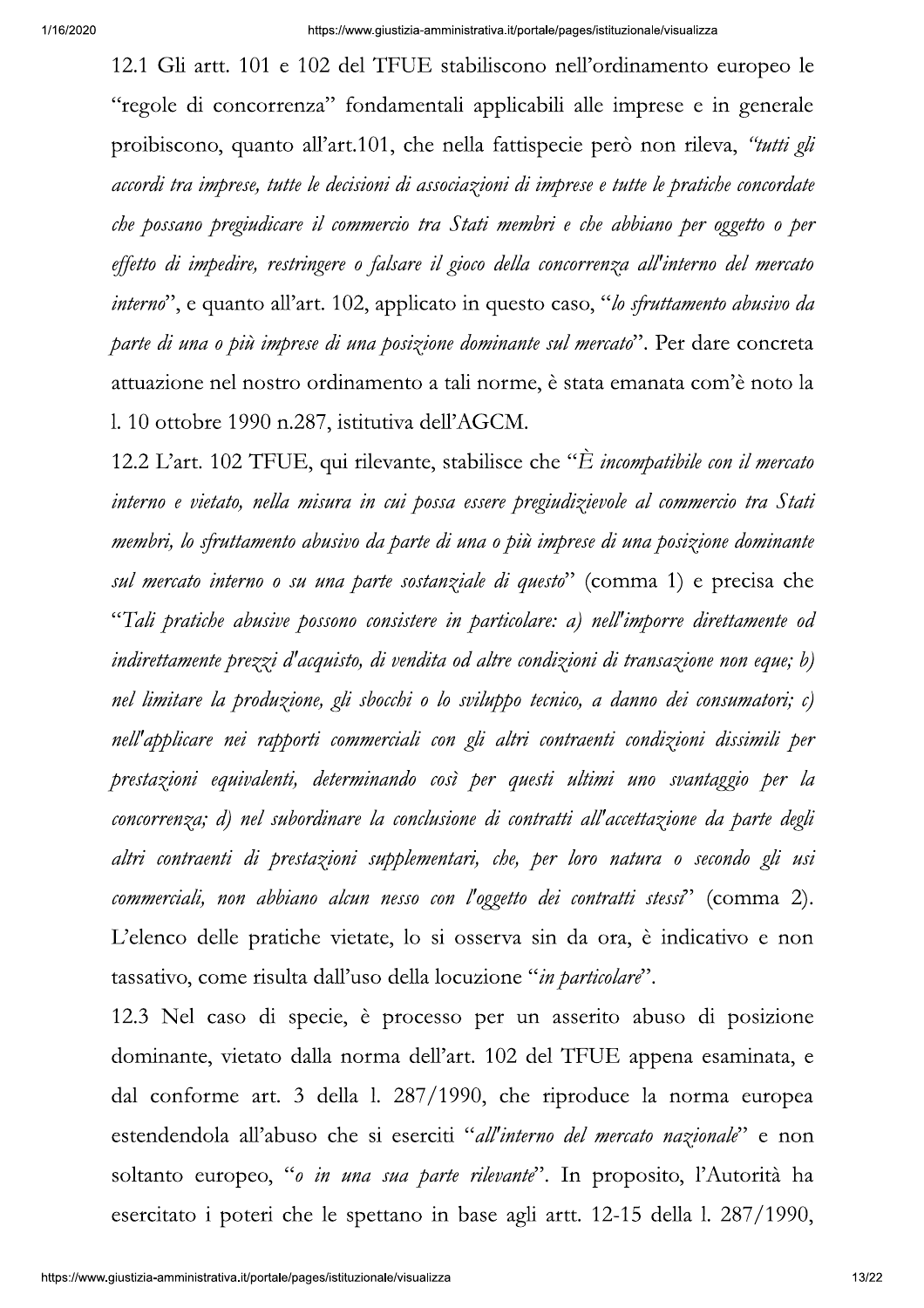12.1 Gli artt. 101 e 102 del TFUE stabiliscono nell'ordinamento europeo le "regole di concorrenza" fondamentali applicabili alle imprese e in generale proibiscono, quanto all'art.101, che nella fattispecie però non rileva, "tutti gli accordi tra imprese, tutte le decisioni di associazioni di imprese e tutte le pratiche concordate che possano pregiudicare il commercio tra Stati membri e che abbiano per oggetto o per effetto di impedire, restringere o falsare il gioco della concorrenza all'interno del mercato *interno*", e quanto all'art. 102, applicato in questo caso, "lo *sfruttamento abusivo da* parte di una o più imprese di una posizione dominante sul mercato". Per dare concreta attuazione nel nostro ordinamento a tali norme, è stata emanata com'è noto la l. 10 ottobre 1990 n.287, istitutiva dell'AGCM.

12.2 L'art. 102 TFUE, qui rilevante, stabilisce che "È incompatibile con il mercato interno e vietato, nella misura in cui possa essere pregiudizievole al commercio tra Stati membri, lo sfruttamento abusivo da parte di una o più imprese di una posizione dominante sul mercato interno o su una parte sostanziale di questo" (comma 1) e precisa che "Tali pratiche abusive possono consistere in particolare: a) nell'imporre direttamente od indirettamente prezzi d'acquisto, di vendita od altre condizioni di transazione non eque; b) nel limitare la produzione, gli sbocchi o lo sviluppo tecnico, a danno dei consumatori; c) nell'applicare nei rapporti commerciali con gli altri contraenti condizioni dissimili per prestazioni equivalenti, determinando così per questi ultimi uno svantaggio per la concorrenza; d) nel subordinare la conclusione di contratti all'accettazione da parte degli altri contraenti di prestazioni supplementari, che, per loro natura o secondo gli usi commerciali, non abbiano alcun nesso con l'oggetto dei contratti stessi<sup>7</sup> (comma 2). L'elenco delle pratiche vietate, lo si osserva sin da ora, è indicativo e non tassativo, come risulta dall'uso della locuzione "in particolare".

12.3 Nel caso di specie, è processo per un asserito abuso di posizione dominante, vietato dalla norma dell'art. 102 del TFUE appena esaminata, e dal conforme art. 3 della 1. 287/1990, che riproduce la norma europea estendendola all'abuso che si eserciti "all'interno del mercato nazionale" e non soltanto europeo, "o in una sua parte rilevante". In proposito, l'Autorità ha esercitato i poteri che le spettano in base agli artt. 12-15 della l. 287/1990,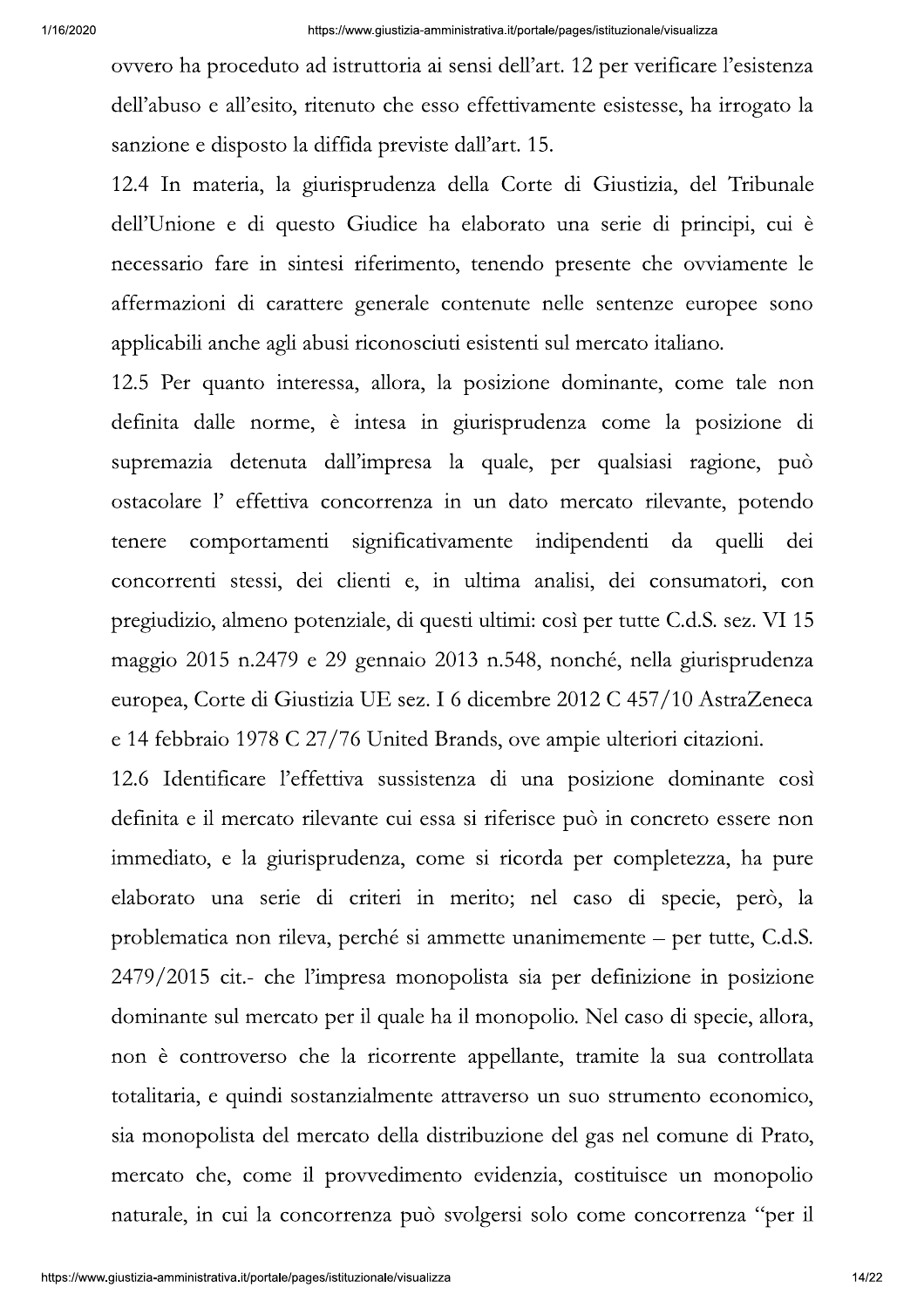ovvero ha proceduto ad istruttoria ai sensi dell'art. 12 per verificare l'esistenza dell'abuso e all'esito, ritenuto che esso effettivamente esistesse, ha irrogato la sanzione e disposto la diffida previste dall'art. 15.

12.4 In materia, la giurisprudenza della Corte di Giustizia, del Tribunale dell'Unione e di questo Giudice ha elaborato una serie di principi, cui è necessario fare in sintesi riferimento, tenendo presente che ovviamente le affermazioni di carattere generale contenute nelle sentenze europee sono applicabili anche agli abusi riconosciuti esistenti sul mercato italiano.

12.5 Per quanto interessa, allora, la posizione dominante, come tale non definita dalle norme, è intesa in giurisprudenza come la posizione di supremazia detenuta dall'impresa la quale, per qualsiasi ragione, può ostacolare l'effettiva concorrenza in un dato mercato rilevante, potendo quelli tenere comportamenti significativamente indipendenti da dei concorrenti stessi, dei clienti e, in ultima analisi, dei consumatori, con pregiudizio, almeno potenziale, di questi ultimi: così per tutte C.d.S. sez. VI 15 maggio 2015 n.2479 e 29 gennaio 2013 n.548, nonché, nella giurisprudenza europea, Corte di Giustizia UE sez. I 6 dicembre 2012 C 457/10 AstraZeneca e 14 febbraio 1978 C 27/76 United Brands, ove ampie ulteriori citazioni.

12.6 Identificare l'effettiva sussistenza di una posizione dominante così definita e il mercato rilevante cui essa si riferisce può in concreto essere non immediato, e la giurisprudenza, come si ricorda per completezza, ha pure elaborato una serie di criteri in merito; nel caso di specie, però, la problematica non rileva, perché si ammette unanimemente – per tutte, C.d.S. 2479/2015 cit.- che l'impresa monopolista sia per definizione in posizione dominante sul mercato per il quale ha il monopolio. Nel caso di specie, allora, non è controverso che la ricorrente appellante, tramite la sua controllata totalitaria, e quindi sostanzialmente attraverso un suo strumento economico, sia monopolista del mercato della distribuzione del gas nel comune di Prato, mercato che, come il provvedimento evidenzia, costituisce un monopolio naturale, in cui la concorrenza può svolgersi solo come concorrenza "per il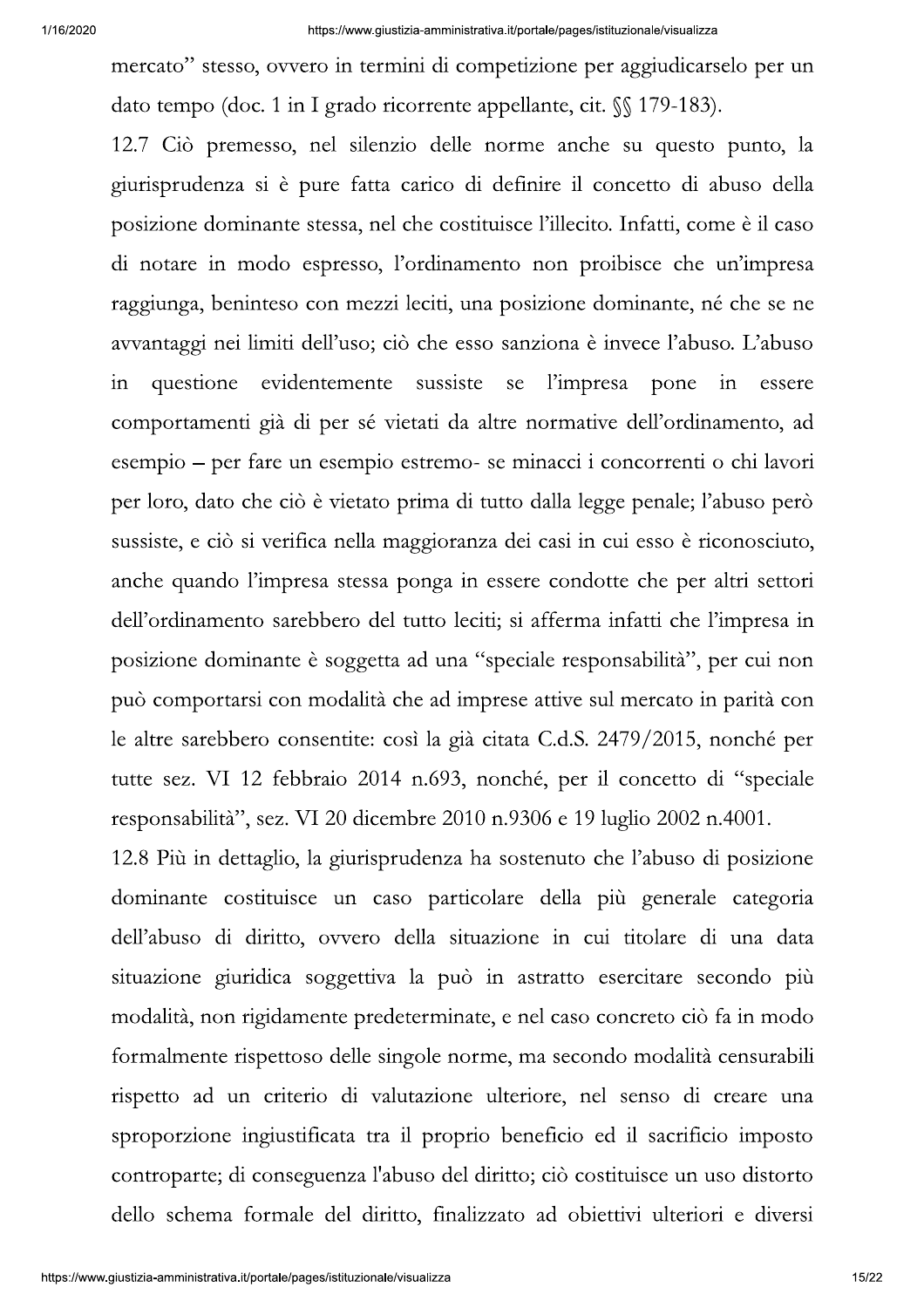mercato" stesso, ovvero in termini di competizione per aggiudicarselo per un dato tempo (doc. 1 in I grado ricorrente appellante, cit.  $\mathcal{S}$  179-183).

12.7 Ciò premesso, nel silenzio delle norme anche su questo punto, la giurisprudenza si è pure fatta carico di definire il concetto di abuso della posizione dominante stessa, nel che costituisce l'illecito. Infatti, come è il caso di notare in modo espresso, l'ordinamento non proibisce che un'impresa raggiunga, beninteso con mezzi leciti, una posizione dominante, né che se ne avvantaggi nei limiti dell'uso; ciò che esso sanziona è invece l'abuso. L'abuso in questione evidentemente sussiste se l'impresa pone in essere comportamenti già di per sé vietati da altre normative dell'ordinamento, ad esempio – per fare un esempio estremo- se minacci i concorrenti o chi lavori per loro, dato che ciò è vietato prima di tutto dalla legge penale; l'abuso però sussiste, e ciò si verifica nella maggioranza dei casi in cui esso è riconosciuto, anche quando l'impresa stessa ponga in essere condotte che per altri settori dell'ordinamento sarebbero del tutto leciti; si afferma infatti che l'impresa in posizione dominante è soggetta ad una "speciale responsabilità", per cui non può comportarsi con modalità che ad imprese attive sul mercato in parità con le altre sarebbero consentite: così la già citata C.d.S. 2479/2015, nonché per tutte sez. VI 12 febbraio 2014 n.693, nonché, per il concetto di "speciale responsabilità", sez. VI 20 dicembre 2010 n.9306 e 19 luglio 2002 n.4001.

12.8 Più in dettaglio, la giurisprudenza ha sostenuto che l'abuso di posizione dominante costituisce un caso particolare della più generale categoria dell'abuso di diritto, ovvero della situazione in cui titolare di una data situazione giuridica soggettiva la può in astratto esercitare secondo più modalità, non rigidamente predeterminate, e nel caso concreto ciò fa in modo formalmente rispettoso delle singole norme, ma secondo modalità censurabili rispetto ad un criterio di valutazione ulteriore, nel senso di creare una sproporzione ingiustificata tra il proprio beneficio ed il sacrificio imposto controparte; di conseguenza l'abuso del diritto; ciò costituisce un uso distorto dello schema formale del diritto, finalizzato ad obiettivi ulteriori e diversi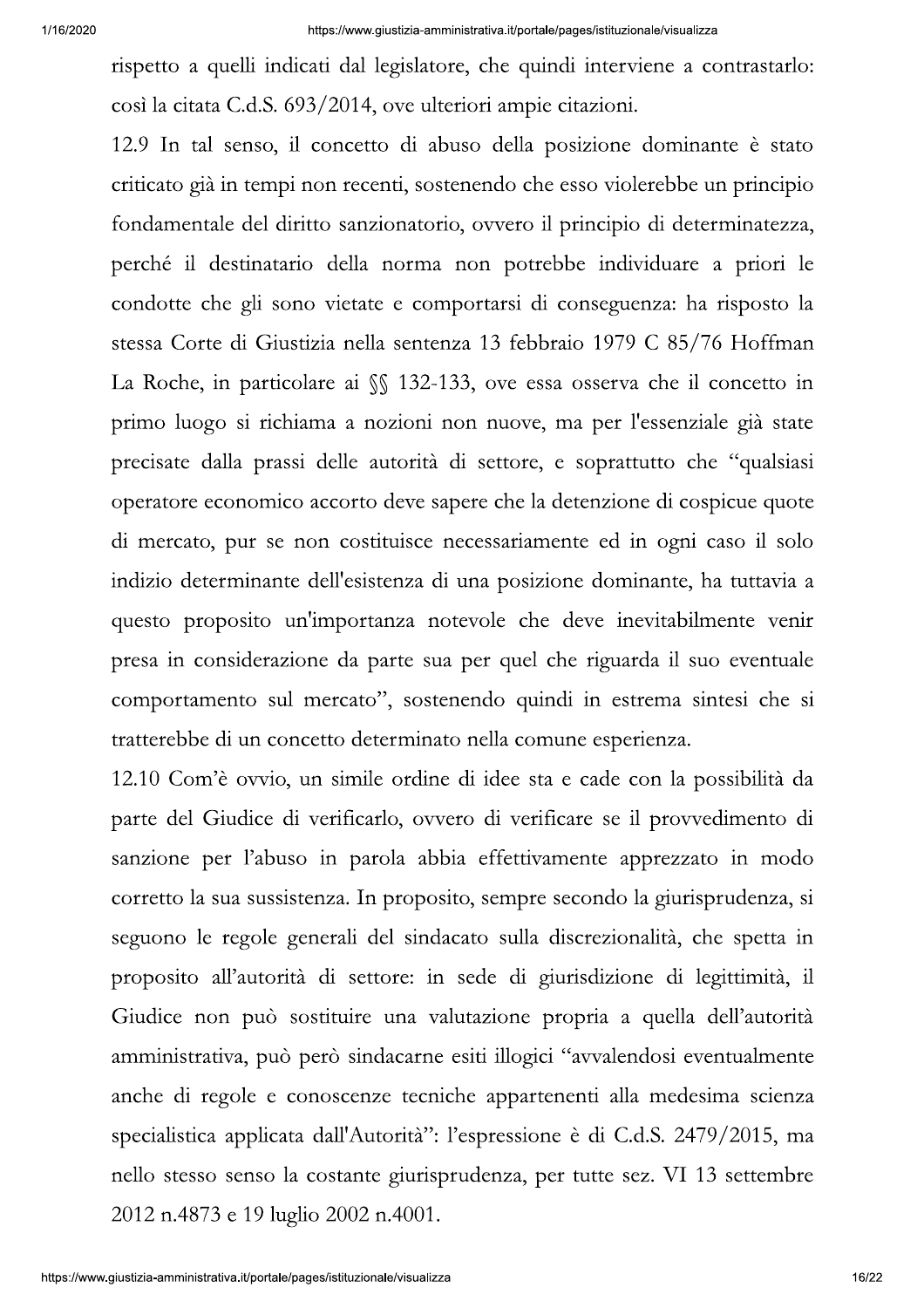rispetto a quelli indicati dal legislatore, che quindi interviene a contrastarlo: così la citata C.d.S. 693/2014, ove ulteriori ampie citazioni.

12.9 In tal senso, il concetto di abuso della posizione dominante è stato criticato già in tempi non recenti, sostenendo che esso violerebbe un principio fondamentale del diritto sanzionatorio, ovvero il principio di determinatezza, perché il destinatario della norma non potrebbe individuare a priori le condotte che gli sono vietate e comportarsi di conseguenza: ha risposto la stessa Corte di Giustizia nella sentenza 13 febbraio 1979 C 85/76 Hoffman La Roche, in particolare ai §§ 132-133, ove essa osserva che il concetto in primo luogo si richiama a nozioni non nuove, ma per l'essenziale già state precisate dalla prassi delle autorità di settore, e soprattutto che "qualsiasi operatore economico accorto deve sapere che la detenzione di cospicue quote di mercato, pur se non costituisce necessariamente ed in ogni caso il solo indizio determinante dell'esistenza di una posizione dominante, ha tuttavia a questo proposito un'importanza notevole che deve inevitabilmente venir presa in considerazione da parte sua per quel che riguarda il suo eventuale comportamento sul mercato", sostenendo quindi in estrema sintesi che si tratterebbe di un concetto determinato nella comune esperienza.

12.10 Com'è ovvio, un simile ordine di idee sta e cade con la possibilità da parte del Giudice di verificarlo, ovvero di verificare se il provvedimento di sanzione per l'abuso in parola abbia effettivamente apprezzato in modo corretto la sua sussistenza. In proposito, sempre secondo la giurisprudenza, si seguono le regole generali del sindacato sulla discrezionalità, che spetta in proposito all'autorità di settore: in sede di giurisdizione di legittimità, il Giudice non può sostituire una valutazione propria a quella dell'autorità amministrativa, può però sindacarne esiti illogici "avvalendosi eventualmente anche di regole e conoscenze tecniche appartenenti alla medesima scienza specialistica applicata dall'Autorità": l'espressione è di C.d.S. 2479/2015, ma nello stesso senso la costante giurisprudenza, per tutte sez. VI 13 settembre 2012 n.4873 e 19 luglio 2002 n.4001.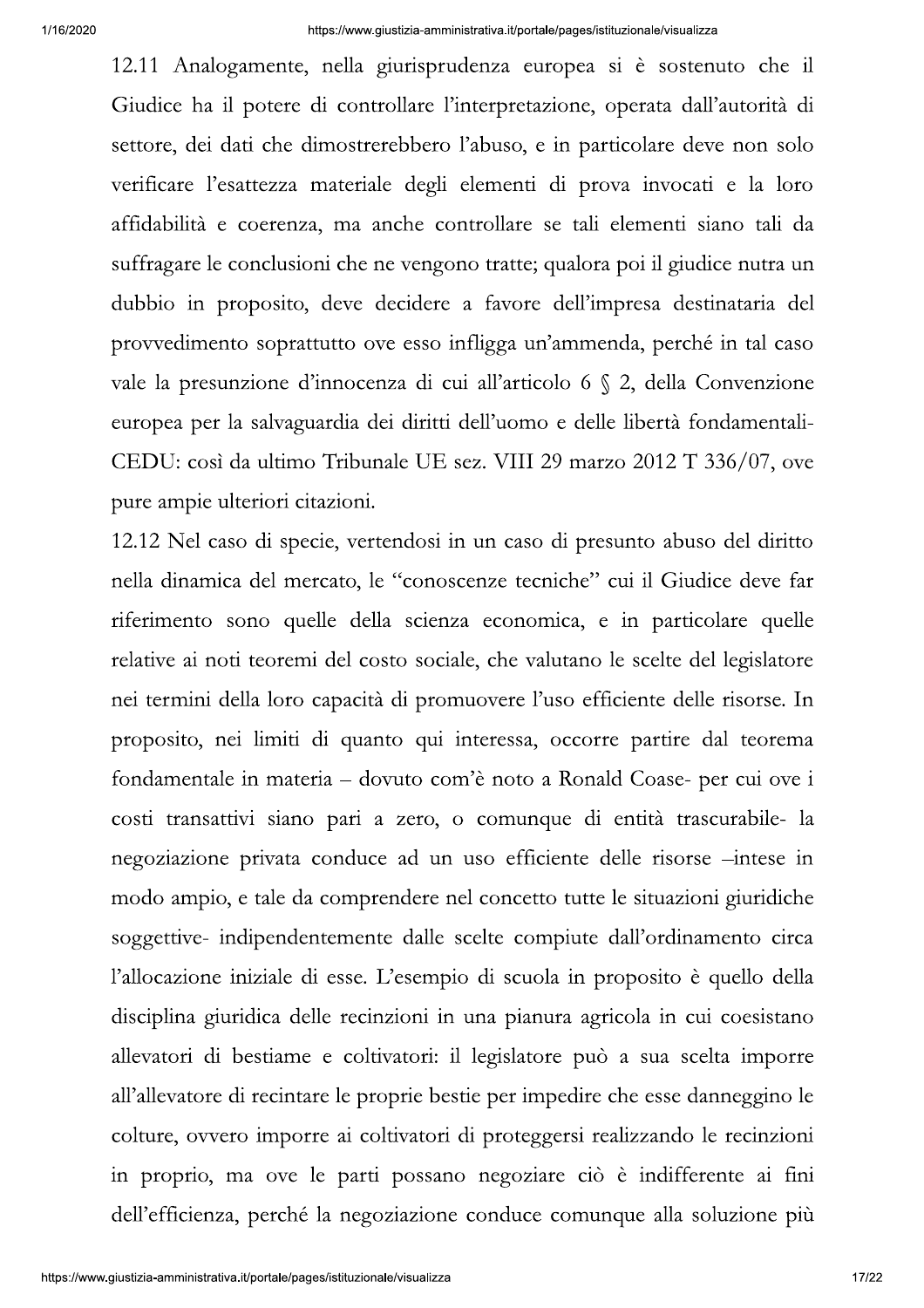12.11 Analogamente, nella giurisprudenza europea si è sostenuto che il Giudice ha il potere di controllare l'interpretazione, operata dall'autorità di settore, dei dati che dimostrerebbero l'abuso, e in particolare deve non solo verificare l'esattezza materiale degli elementi di prova invocati e la loro affidabilità e coerenza, ma anche controllare se tali elementi siano tali da suffragare le conclusioni che ne vengono tratte; qualora poi il giudice nutra un dubbio in proposito, deve decidere a favore dell'impresa destinataria del provvedimento soprattutto ove esso infligga un'ammenda, perché in tal caso vale la presunzione d'innocenza di cui all'articolo 6 § 2, della Convenzione europea per la salvaguardia dei diritti dell'uomo e delle libertà fondamentali-CEDU: così da ultimo Tribunale UE sez. VIII 29 marzo 2012 T 336/07, ove pure ampie ulteriori citazioni.

12.12 Nel caso di specie, vertendosi in un caso di presunto abuso del diritto nella dinamica del mercato, le "conoscenze tecniche" cui il Giudice deve far riferimento sono quelle della scienza economica, e in particolare quelle relative ai noti teoremi del costo sociale, che valutano le scelte del legislatore nei termini della loro capacità di promuovere l'uso efficiente delle risorse. In proposito, nei limiti di quanto qui interessa, occorre partire dal teorema fondamentale in materia - dovuto com'è noto a Ronald Coase- per cui ove i costi transattivi siano pari a zero, o comunque di entità trascurabile- la negoziazione privata conduce ad un uso efficiente delle risorse -intese in modo ampio, e tale da comprendere nel concetto tutte le situazioni giuridiche soggettive- indipendentemente dalle scelte compiute dall'ordinamento circa l'allocazione iniziale di esse. L'esempio di scuola in proposito è quello della disciplina giuridica delle recinzioni in una pianura agricola in cui coesistano allevatori di bestiame e coltivatori: il legislatore può a sua scelta imporre all'allevatore di recintare le proprie bestie per impedire che esse danneggino le colture, ovvero imporre ai coltivatori di proteggersi realizzando le recinzioni in proprio, ma ove le parti possano negoziare ciò è indifferente ai fini dell'efficienza, perché la negoziazione conduce comunque alla soluzione più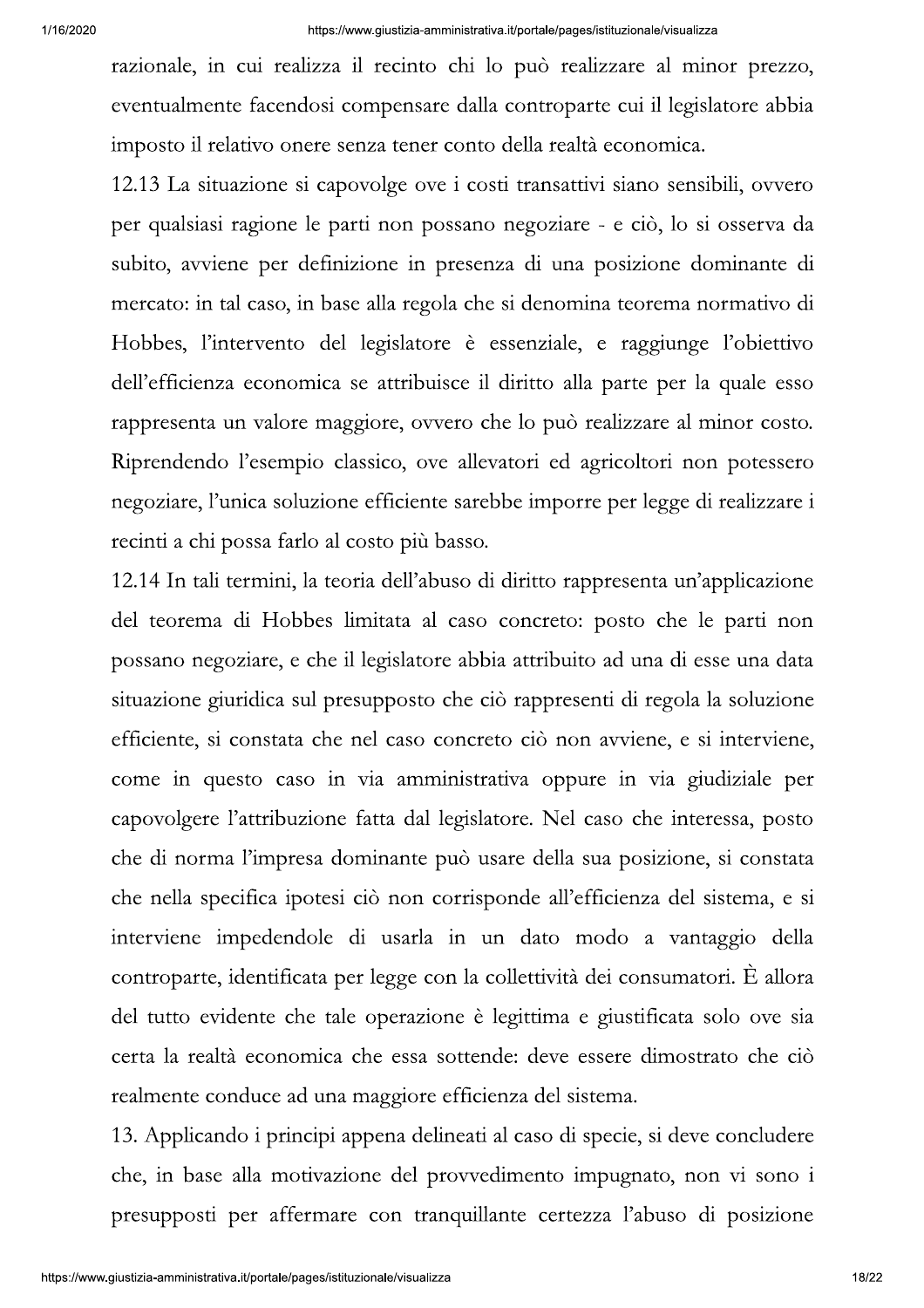razionale, in cui realizza il recinto chi lo può realizzare al minor prezzo, eventualmente facendosi compensare dalla controparte cui il legislatore abbia imposto il relativo onere senza tener conto della realtà economica.

12.13 La situazione si capovolge ove i costi transattivi siano sensibili, ovvero per qualsiasi ragione le parti non possano negoziare - e ciò, lo si osserva da subito, avviene per definizione in presenza di una posizione dominante di mercato: in tal caso, in base alla regola che si denomina teorema normativo di Hobbes, l'intervento del legislatore è essenziale, e raggiunge l'obiettivo dell'efficienza economica se attribuisce il diritto alla parte per la quale esso rappresenta un valore maggiore, ovvero che lo può realizzare al minor costo. Riprendendo l'esempio classico, ove allevatori ed agricoltori non potessero negoziare, l'unica soluzione efficiente sarebbe imporre per legge di realizzare i recinti a chi possa farlo al costo più basso.

12.14 In tali termini, la teoria dell'abuso di diritto rappresenta un'applicazione del teorema di Hobbes limitata al caso concreto: posto che le parti non possano negoziare, e che il legislatore abbia attribuito ad una di esse una data situazione giuridica sul presupposto che ciò rappresenti di regola la soluzione efficiente, si constata che nel caso concreto ciò non avviene, e si interviene, come in questo caso in via amministrativa oppure in via giudiziale per capovolgere l'attribuzione fatta dal legislatore. Nel caso che interessa, posto che di norma l'impresa dominante può usare della sua posizione, si constata che nella specifica ipotesi ciò non corrisponde all'efficienza del sistema, e si interviene impedendole di usarla in un dato modo a vantaggio della controparte, identificata per legge con la collettività dei consumatori. È allora del tutto evidente che tale operazione è legittima e giustificata solo ove sia certa la realtà economica che essa sottende: deve essere dimostrato che ciò realmente conduce ad una maggiore efficienza del sistema.

13. Applicando i principi appena delineati al caso di specie, si deve concludere che, in base alla motivazione del provvedimento impugnato, non vi sono i presupposti per affermare con tranquillante certezza l'abuso di posizione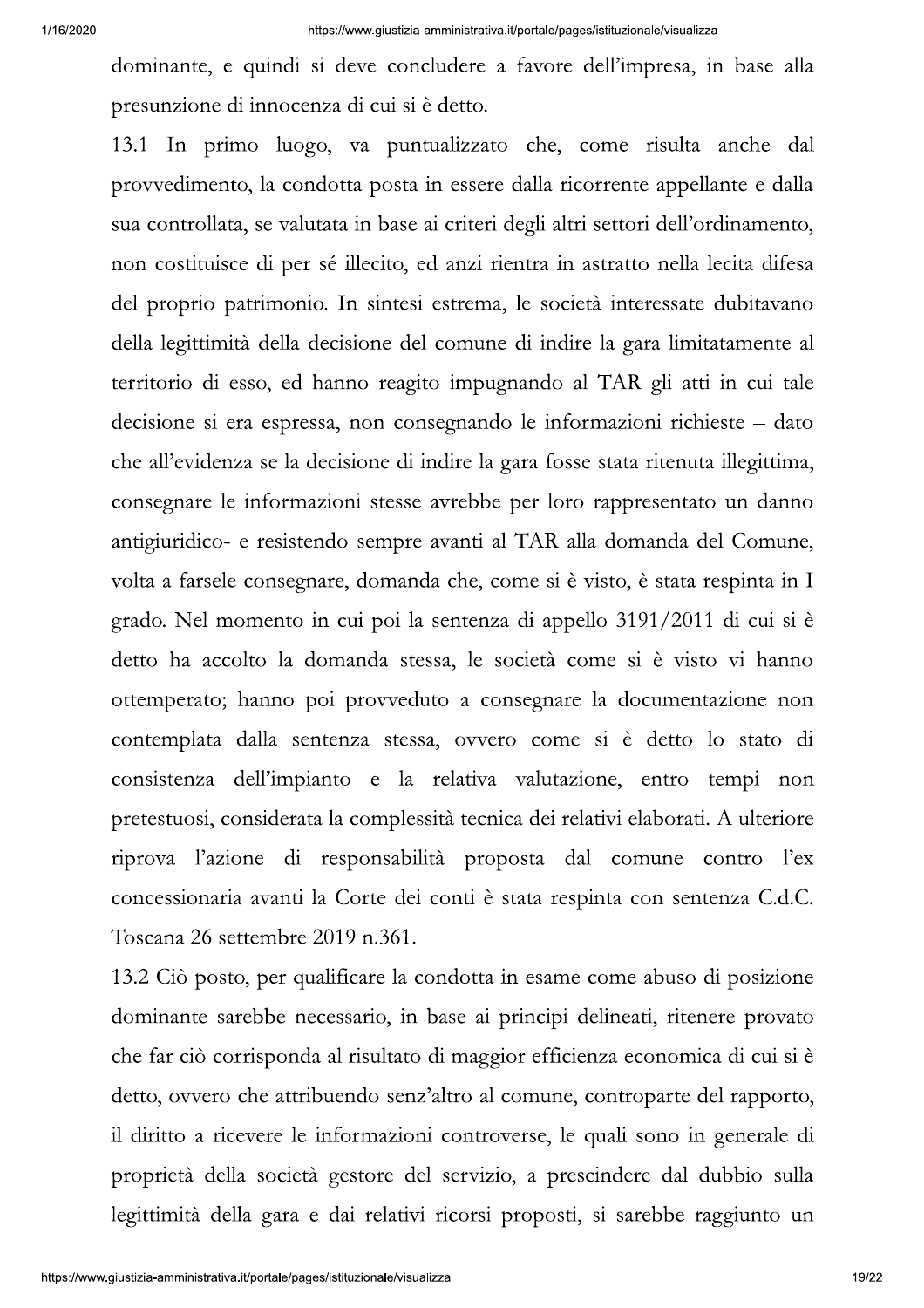dominante, e quindi si deve concludere a favore dell'impresa, in base alla presunzione di innocenza di cui si è detto.

13.1 In primo luogo, va puntualizzato che, come risulta anche dal provvedimento, la condotta posta in essere dalla ricorrente appellante e dalla sua controllata, se valutata in base ai criteri degli altri settori dell'ordinamento, non costituisce di per sé illecito, ed anzi rientra in astratto nella lecita difesa del proprio patrimonio. In sintesi estrema, le società interessate dubitavano della legittimità della decisione del comune di indire la gara limitatamente al territorio di esso, ed hanno reagito impugnando al TAR gli atti in cui tale decisione si era espressa, non consegnando le informazioni richieste – dato che all'evidenza se la decisione di indire la gara fosse stata ritenuta illegittima, consegnare le informazioni stesse avrebbe per loro rappresentato un danno antigiuridico- e resistendo sempre avanti al TAR alla domanda del Comune, volta a farsele consegnare, domanda che, come si è visto, è stata respinta in I grado. Nel momento in cui poi la sentenza di appello 3191/2011 di cui si è detto ha accolto la domanda stessa, le società come si è visto vi hanno ottemperato; hanno poi provveduto a consegnare la documentazione non contemplata dalla sentenza stessa, ovvero come si è detto lo stato di consistenza dell'impianto e la relativa valutazione, entro tempi non pretestuosi, considerata la complessità tecnica dei relativi elaborati. A ulteriore riprova l'azione di responsabilità proposta dal comune contro l'ex concessionaria avanti la Corte dei conti è stata respinta con sentenza C.d.C. Toscana 26 settembre 2019 n.361.

13.2 Ciò posto, per qualificare la condotta in esame come abuso di posizione dominante sarebbe necessario, in base ai principi delineati, ritenere provato che far ciò corrisponda al risultato di maggior efficienza economica di cui si è detto, ovvero che attribuendo senz'altro al comune, controparte del rapporto, il diritto a ricevere le informazioni controverse, le quali sono in generale di proprietà della società gestore del servizio, a prescindere dal dubbio sulla legittimità della gara e dai relativi ricorsi proposti, si sarebbe raggiunto un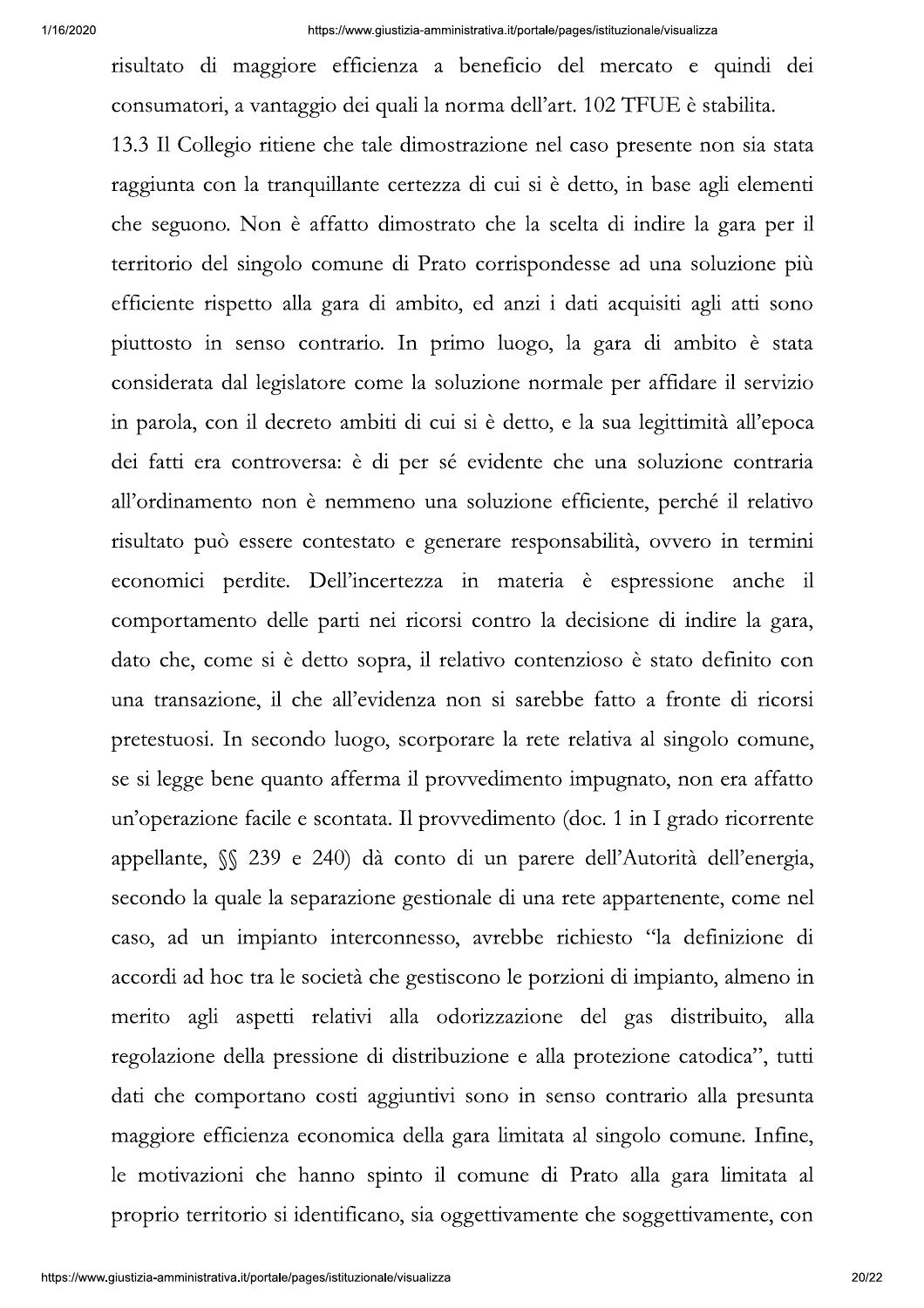risultato di maggiore efficienza a beneficio del mercato e quindi dei consumatori, a vantaggio dei quali la norma dell'art. 102 TFUE è stabilita.

13.3 Il Collegio ritiene che tale dimostrazione nel caso presente non sia stata raggiunta con la tranquillante certezza di cui si è detto, in base agli elementi che seguono. Non è affatto dimostrato che la scelta di indire la gara per il territorio del singolo comune di Prato corrispondesse ad una soluzione più efficiente rispetto alla gara di ambito, ed anzi i dati acquisiti agli atti sono piuttosto in senso contrario. In primo luogo, la gara di ambito è stata considerata dal legislatore come la soluzione normale per affidare il servizio in parola, con il decreto ambiti di cui si è detto, e la sua legittimità all'epoca dei fatti era controversa: è di per sé evidente che una soluzione contraria all'ordinamento non è nemmeno una soluzione efficiente, perché il relativo risultato può essere contestato e generare responsabilità, ovvero in termini economici perdite. Dell'incertezza in materia è espressione anche il comportamento delle parti nei ricorsi contro la decisione di indire la gara, dato che, come si è detto sopra, il relativo contenzioso è stato definito con una transazione, il che all'evidenza non si sarebbe fatto a fronte di ricorsi pretestuosi. In secondo luogo, scorporare la rete relativa al singolo comune, se si legge bene quanto afferma il provvedimento impugnato, non era affatto un'operazione facile e scontata. Il provvedimento (doc. 1 in I grado ricorrente appellante, SS 239 e 240) dà conto di un parere dell'Autorità dell'energia, secondo la quale la separazione gestionale di una rete appartenente, come nel caso, ad un impianto interconnesso, avrebbe richiesto "la definizione di accordi ad hoc tra le società che gestiscono le porzioni di impianto, almeno in merito agli aspetti relativi alla odorizzazione del gas distribuito, alla regolazione della pressione di distribuzione e alla protezione catodica", tutti dati che comportano costi aggiuntivi sono in senso contrario alla presunta maggiore efficienza economica della gara limitata al singolo comune. Infine, le motivazioni che hanno spinto il comune di Prato alla gara limitata al proprio territorio si identificano, sia oggettivamente che soggettivamente, con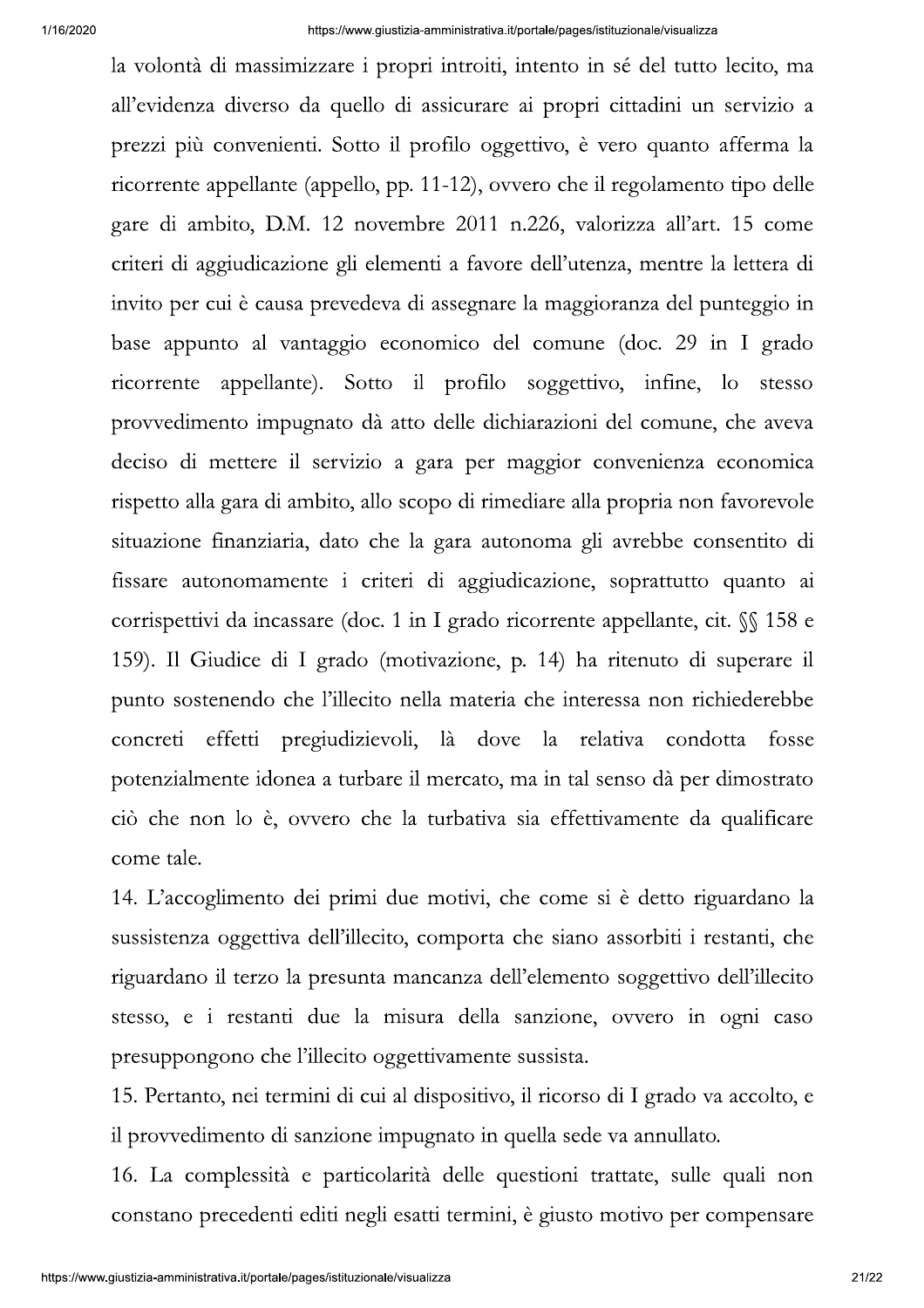la volontà di massimizzare i propri introiti, intento in sé del tutto lecito, ma all'evidenza diverso da quello di assicurare ai propri cittadini un servizio a prezzi più convenienti. Sotto il profilo oggettivo, è vero quanto afferma la ricorrente appellante (appello, pp. 11-12), ovvero che il regolamento tipo delle gare di ambito, D.M. 12 novembre 2011 n.226, valorizza all'art. 15 come criteri di aggiudicazione gli elementi a favore dell'utenza, mentre la lettera di invito per cui è causa prevedeva di assegnare la maggioranza del punteggio in base appunto al vantaggio economico del comune (doc. 29 in I grado ricorrente appellante). Sotto il profilo soggettivo, infine, lo stesso provvedimento impugnato dà atto delle dichiarazioni del comune, che aveva deciso di mettere il servizio a gara per maggior convenienza economica rispetto alla gara di ambito, allo scopo di rimediare alla propria non favorevole situazione finanziaria, dato che la gara autonoma gli avrebbe consentito di fissare autonomamente i criteri di aggiudicazione, soprattutto quanto ai corrispettivi da incassare (doc. 1 in I grado ricorrente appellante, cit.  $\sqrt{\ }$  158 e 159). Il Giudice di I grado (motivazione, p. 14) ha ritenuto di superare il punto sostenendo che l'illecito nella materia che interessa non richiederebbe effetti pregiudizievoli, là dove la relativa condotta fosse concreti potenzialmente idonea a turbare il mercato, ma in tal senso dà per dimostrato ciò che non lo è, ovvero che la turbativa sia effettivamente da qualificare come tale.

14. L'accoglimento dei primi due motivi, che come si è detto riguardano la sussistenza oggettiva dell'illecito, comporta che siano assorbiti i restanti, che riguardano il terzo la presunta mancanza dell'elemento soggettivo dell'illecito stesso, e i restanti due la misura della sanzione, ovvero in ogni caso presuppongono che l'illecito oggettivamente sussista.

15. Pertanto, nei termini di cui al dispositivo, il ricorso di I grado va accolto, e il provvedimento di sanzione impugnato in quella sede va annullato.

16. La complessità e particolarità delle questioni trattate, sulle quali non constano precedenti editi negli esatti termini, è giusto motivo per compensare